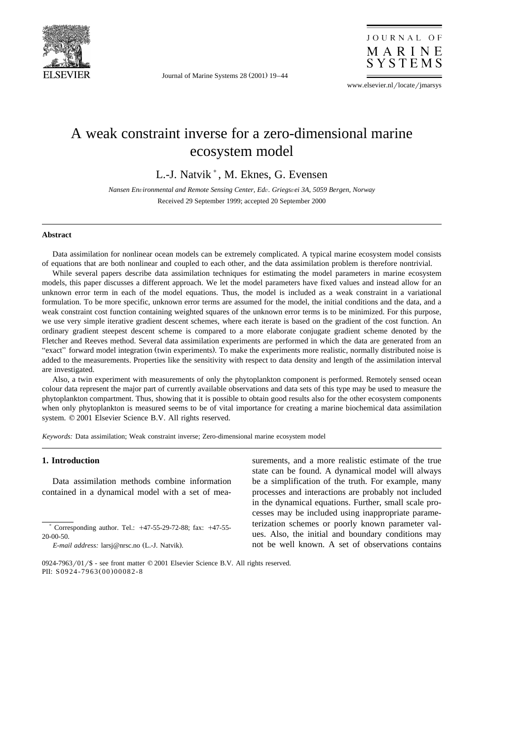

Journal of Marine Systems 28 (2001) 19-44

JOURNAL OF MARINE SYSTEMS

www.elsevier.nl/locate/jmarsys

# A weak constraint inverse for a zero-dimensional marine ecosystem model

L.-J. Natvik<sup>\*</sup>, M. Eknes, G. Evensen

*Nansen En*Õ*ironmental and Remote Sensing Center, Ed*Õ*. Griegs*Õ*ei 3A, 5059 Bergen, Norway* Received 29 September 1999; accepted 20 September 2000

#### **Abstract**

Data assimilation for nonlinear ocean models can be extremely complicated. A typical marine ecosystem model consists of equations that are both nonlinear and coupled to each other, and the data assimilation problem is therefore nontrivial.

While several papers describe data assimilation techniques for estimating the model parameters in marine ecosystem models, this paper discusses a different approach. We let the model parameters have fixed values and instead allow for an unknown error term in each of the model equations. Thus, the model is included as a weak constraint in a variational formulation. To be more specific, unknown error terms are assumed for the model, the initial conditions and the data, and a weak constraint cost function containing weighted squares of the unknown error terms is to be minimized. For this purpose, we use very simple iterative gradient descent schemes, where each iterate is based on the gradient of the cost function. An ordinary gradient steepest descent scheme is compared to a more elaborate conjugate gradient scheme denoted by the Fletcher and Reeves method. Several data assimilation experiments are performed in which the data are generated from an "exact" forward model integration (twin experiments). To make the experiments more realistic, normally distributed noise is added to the measurements. Properties like the sensitivity with respect to data density and length of the assimilation interval are investigated.

Also, a twin experiment with measurements of only the phytoplankton component is performed. Remotely sensed ocean colour data represent the major part of currently available observations and data sets of this type may be used to measure the phytoplankton compartment. Thus, showing that it is possible to obtain good results also for the other ecosystem components when only phytoplankton is measured seems to be of vital importance for creating a marine biochemical data assimilation system.  $© 2001$  Elsevier Science B.V. All rights reserved.

*Keywords:* Data assimilation; Weak constraint inverse; Zero-dimensional marine ecosystem model

# **1. Introduction**

Data assimilation methods combine information contained in a dynamical model with a set of measurements, and a more realistic estimate of the true state can be found. A dynamical model will always be a simplification of the truth. For example, many processes and interactions are probably not included in the dynamical equations. Further, small scale processes may be included using inappropriate parameterization schemes or poorly known parameter values. Also, the initial and boundary conditions may not be well known. A set of observations contains

<sup>)</sup> Corresponding author. Tel.: q47-55-29-72-88; fax: q47-55- 20-00-50.

*E-mail address:* larsj@nrsc.no (L.-J. Natvik).

<sup>0924-7963/01/\$ -</sup> see front matter  $© 2001$  Elsevier Science B.V. All rights reserved. PII: S0924-7963(00)00082-8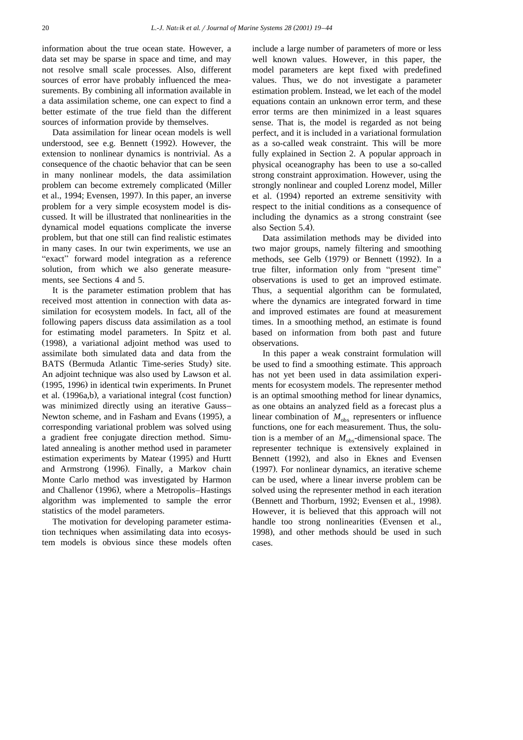information about the true ocean state. However, a data set may be sparse in space and time, and may not resolve small scale processes. Also, different sources of error have probably influenced the measurements. By combining all information available in a data assimilation scheme, one can expect to find a better estimate of the true field than the different sources of information provide by themselves.

Data assimilation for linear ocean models is well understood, see e.g. Bennett (1992). However, the extension to nonlinear dynamics is nontrivial. As a consequence of the chaotic behavior that can be seen in many nonlinear models, the data assimilation problem can become extremely complicated (Miller et al., 1994; Evensen, 1997). In this paper, an inverse problem for a very simple ecosystem model is discussed. It will be illustrated that nonlinearities in the dynamical model equations complicate the inverse problem, but that one still can find realistic estimates in many cases. In our twin experiments, we use an "exact" forward model integration as a reference solution, from which we also generate measurements, see Sections 4 and 5.

It is the parameter estimation problem that has received most attention in connection with data assimilation for ecosystem models. In fact, all of the following papers discuss data assimilation as a tool for estimating model parameters. In Spitz et al.  $(1998)$ , a variational adjoint method was used to assimilate both simulated data and data from the BATS (Bermuda Atlantic Time-series Study) site. An adjoint technique was also used by Lawson et al.  $(1995, 1996)$  in identical twin experiments. In Prunet et al.  $(1996a,b)$ , a variational integral (cost function) was minimized directly using an iterative Gauss– Newton scheme, and in Fasham and Evans (1995), a corresponding variational problem was solved using a gradient free conjugate direction method. Simulated annealing is another method used in parameter estimation experiments by Matear (1995) and Hurtt and Armstrong (1996). Finally, a Markov chain Monte Carlo method was investigated by Harmon and Challenor (1996), where a Metropolis–Hastings algorithm was implemented to sample the error statistics of the model parameters.

The motivation for developing parameter estimation techniques when assimilating data into ecosystem models is obvious since these models often

include a large number of parameters of more or less well known values. However, in this paper, the model parameters are kept fixed with predefined values. Thus, we do not investigate a parameter estimation problem. Instead, we let each of the model equations contain an unknown error term, and these error terms are then minimized in a least squares sense. That is, the model is regarded as not being perfect, and it is included in a variational formulation as a so-called weak constraint. This will be more fully explained in Section 2. A popular approach in physical oceanography has been to use a so-called strong constraint approximation. However, using the strongly nonlinear and coupled Lorenz model, Miller et al. (1994) reported an extreme sensitivity with respect to the initial conditions as a consequence of including the dynamics as a strong constraint (see also Section 5.4).

Data assimilation methods may be divided into two major groups, namely filtering and smoothing methods, see Gelb (1979) or Bennett (1992). In a true filter, information only from "present time" observations is used to get an improved estimate. Thus, a sequential algorithm can be formulated, where the dynamics are integrated forward in time and improved estimates are found at measurement times. In a smoothing method, an estimate is found based on information from both past and future observations.

In this paper a weak constraint formulation will be used to find a smoothing estimate. This approach has not yet been used in data assimilation experiments for ecosystem models. The representer method is an optimal smoothing method for linear dynamics, as one obtains an analyzed field as a forecast plus a linear combination of  $M_{obs}$  representers or influence functions, one for each measurement. Thus, the solution is a member of an  $M_{obs}$ -dimensional space. The representer technique is extensively explained in Bennett (1992), and also in Eknes and Evensen  $(1997)$ . For nonlinear dynamics, an iterative scheme can be used, where a linear inverse problem can be solved using the representer method in each iteration (Bennett and Thorburn, 1992; Evensen et al., 1998). However, it is believed that this approach will not handle too strong nonlinearities (Evensen et al., 1998), and other methods should be used in such cases.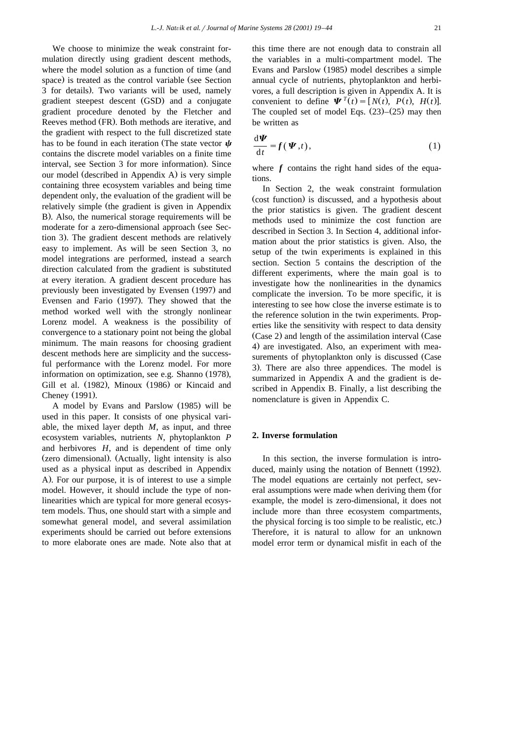We choose to minimize the weak constraint formulation directly using gradient descent methods, where the model solution as a function of time (and space) is treated as the control variable (see Section 3 for details). Two variants will be used, namely gradient steepest descent (GSD) and a conjugate gradient procedure denoted by the Fletcher and Reeves method (FR). Both methods are iterative, and the gradient with respect to the full discretized state has to be found in each iteration (The state vector  $\psi$ contains the discrete model variables on a finite time interval, see Section 3 for more information). Since our model (described in Appendix A) is very simple containing three ecosystem variables and being time dependent only, the evaluation of the gradient will be relatively simple (the gradient is given in Appendix B). Also, the numerical storage requirements will be moderate for a zero-dimensional approach (see Section 3). The gradient descent methods are relatively easy to implement. As will be seen Section 3, no model integrations are performed, instead a search direction calculated from the gradient is substituted at every iteration. A gradient descent procedure has previously been investigated by Evensen (1997) and Evensen and Fario (1997). They showed that the method worked well with the strongly nonlinear Lorenz model. A weakness is the possibility of convergence to a stationary point not being the global minimum. The main reasons for choosing gradient descent methods here are simplicity and the successful performance with the Lorenz model. For more information on optimization, see e.g. Shanno (1978), Gill et al. (1982), Minoux (1986) or Kincaid and Cheney (1991).

A model by Evans and Parslow (1985) will be used in this paper. It consists of one physical variable, the mixed layer depth *M*, as input, and three ecosystem variables, nutrients *N*, phytoplankton *P* and herbivores *H*, and is dependent of time only (zero dimensional). (Actually, light intensity is also used as a physical input as described in Appendix A). For our purpose, it is of interest to use a simple model. However, it should include the type of nonlinearities which are typical for more general ecosystem models. Thus, one should start with a simple and somewhat general model, and several assimilation experiments should be carried out before extensions to more elaborate ones are made. Note also that at this time there are not enough data to constrain all the variables in a multi-compartment model. The Evans and Parslow (1985) model describes a simple annual cycle of nutrients, phytoplankton and herbivores, a full description is given in Appendix A. It is convenient to define  $\Psi^{T}(t) = [N(t), P(t), H(t)].$ The coupled set of model Eqs.  $(23)$ – $(25)$  may then be written as

$$
\frac{\mathrm{d}\Psi}{\mathrm{d}t} = f(\Psi, t),\tag{1}
$$

where f contains the right hand sides of the equations.

In Section 2, the weak constraint formulation (cost function) is discussed, and a hypothesis about the prior statistics is given. The gradient descent methods used to minimize the cost function are described in Section 3. In Section 4, additional information about the prior statistics is given. Also, the setup of the twin experiments is explained in this section. Section 5 contains the description of the different experiments, where the main goal is to investigate how the nonlinearities in the dynamics complicate the inversion. To be more specific, it is interesting to see how close the inverse estimate is to the reference solution in the twin experiments. Properties like the sensitivity with respect to data density (Case 2) and length of the assimilation interval (Case 4) are investigated. Also, an experiment with measurements of phytoplankton only is discussed (Case 3). There are also three appendices. The model is summarized in Appendix A and the gradient is described in Appendix B. Finally, a list describing the nomenclature is given in Appendix C.

# **2. Inverse formulation**

In this section, the inverse formulation is introduced, mainly using the notation of Bennett (1992). The model equations are certainly not perfect, several assumptions were made when deriving them (for example, the model is zero-dimensional, it does not include more than three ecosystem compartments, the physical forcing is too simple to be realistic, etc.. Therefore, it is natural to allow for an unknown model error term or dynamical misfit in each of the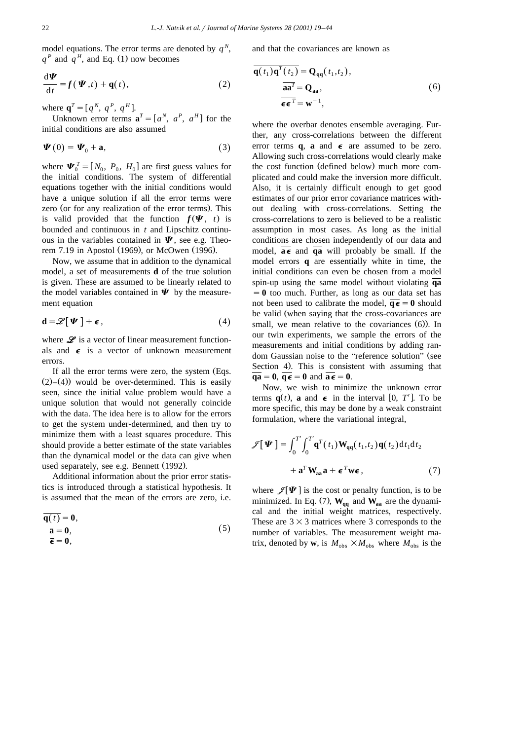model equations. The error terms are denoted by  $q^N$ ,  $q^P$  and  $q^H$ , and Eq. (1) now becomes

$$
\frac{\mathrm{d}\Psi}{\mathrm{d}t} = f(\Psi, t) + q(t),\tag{2}
$$

*Where*  $\mathbf{q}^T = [q^N, q^P, q^H].$ 

Unknown error terms  $\mathbf{a}^T = [a^N, a^P, a^H]$  for the initial conditions are also assumed

$$
\mathbf{\Psi}(0) = \mathbf{\Psi}_0 + \mathbf{a},\tag{3}
$$

where  $\Psi_0^T = [N_0, P_0, H_0]$  are first guess values for the initial conditions. The system of differential equations together with the initial conditions would have a unique solution if all the error terms were zero (or for any realization of the error terms). This is valid provided that the function  $f(\Psi, t)$  is bounded and continuous in *t* and Lipschitz continuous in the variables contained in  $\Psi$ , see e.g. Theorem 7.19 in Apostol (1969), or McOwen (1996).

Now, we assume that in addition to the dynamical model, a set of measurements **d** of the true solution is given. These are assumed to be linearly related to the model variables contained in  $\Psi$  by the measurement equation

$$
\mathbf{d} = \mathscr{L}[\Psi] + \boldsymbol{\epsilon},\tag{4}
$$

where  $\mathcal{L}$  is a vector of linear measurement functionals and  $\epsilon$  is a vector of unknown measurement errors.

If all the error terms were zero, the system (Eqs.  $(2)$  –(4)) would be over-determined. This is easily seen, since the initial value problem would have a unique solution that would not generally coincide with the data. The idea here is to allow for the errors to get the system under-determined, and then try to minimize them with a least squares procedure. This should provide a better estimate of the state variables than the dynamical model or the data can give when used separately, see e.g. Bennett (1992).

Additional information about the prior error statistics is introduced through a statistical hypothesis. It is assumed that the mean of the errors are zero, i.e.

$$
\overline{q(t)} = 0,\n\overline{a} = 0,\n\overline{\epsilon} = 0,
$$
\n(5)

and that the covariances are known as

$$
\overline{\mathbf{q}(t_1)\mathbf{q}^T(t_2)} = \mathbf{Q}_{\mathbf{q}\mathbf{q}}(t_1, t_2),
$$
  
\n
$$
\overline{\mathbf{a}\mathbf{a}^T} = \mathbf{Q}_{\mathbf{aa}},
$$
  
\n
$$
\overline{\epsilon \epsilon^T} = \mathbf{w}^{-1},
$$
\n(6)

where the overbar denotes ensemble averaging. Further, any cross-correlations between the different error terms  $q$ ,  $a$  and  $e$  are assumed to be zero. Allowing such cross-correlations would clearly make the cost function (defined below) much more complicated and could make the inversion more difficult. Also, it is certainly difficult enough to get good estimates of our prior error covariance matrices without dealing with cross-correlations. Setting the cross-correlations to zero is believed to be a realistic assumption in most cases. As long as the initial conditions are chosen independently of our data and model,  $\overline{a} \in \overline{a}$  and  $\overline{q}$  will probably be small. If the model errors **q** are essentially white in time, the initial conditions can even be chosen from a model spin-up using the same model without violating  $\overline{qa}$  $= 0$  too much. Further, as long as our data set has not been used to calibrate the model,  $q \epsilon = 0$  should be valid (when saying that the cross-covariances are small, we mean relative to the covariances  $(6)$ . In our twin experiments, we sample the errors of the measurements and initial conditions by adding random Gaussian noise to the "reference solution" (see Section 4). This is consistent with assuming that  $\overline{qa} = 0$ ,  $\overline{q\epsilon} = 0$  and  $\overline{a\epsilon} = 0$ .

Now, we wish to minimize the unknown error terms  $q(t)$ , **a** and  $\epsilon$  in the interval [0, *T'*]. To be more specific, this may be done by a weak constraint formulation, where the variational integral,

$$
\mathscr{J}[\boldsymbol{\Psi}] = \int_0^{T'} \int_0^{T'} \mathbf{q}^T(t_1) \mathbf{W}_{\mathbf{q}\mathbf{q}}(t_1, t_2) \mathbf{q}(t_2) dt_1 dt_2
$$

$$
+ \mathbf{a}^T \mathbf{W}_{\mathbf{a}\mathbf{a}} \mathbf{a} + \boldsymbol{\epsilon}^T \mathbf{w} \boldsymbol{\epsilon}, \qquad (7)
$$

where  $\mathcal{J}[\Psi]$  is the cost or penalty function, is to be minimized. In Eq. (7),  $W_{qq}$  and  $W_{aa}$  are the dynamical and the initial weight matrices, respectively. These are  $3\times3$  matrices where 3 corresponds to the number of variables. The measurement weight matrix, denoted by **w**, is  $M_{obs} \times M_{obs}$  where  $M_{obs}$  is the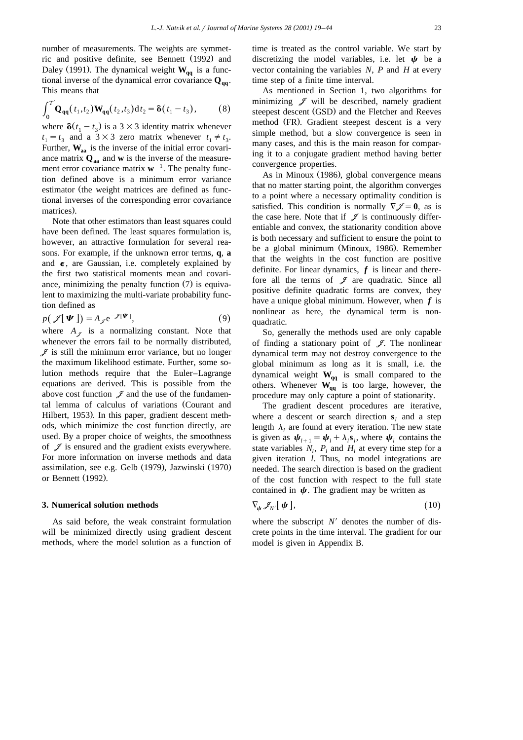number of measurements. The weights are symmetric and positive definite, see Bennett (1992) and Daley (1991). The dynamical weight  $W_{qq}$  is a functional inverse of the dynamical error covariance  $Q_{aa}$ . This means that

$$
\int_0^{T'} \mathbf{Q}_{qq}(t_1, t_2) \mathbf{W}_{qq}(t_2, t_3) dt_2 = \delta(t_1 - t_3), \quad (8)
$$

where  $\delta(t_1 - t_3)$  is a 3 × 3 identity matrix whenever  $t_1 = t_3$  and a 3 × 3 zero matrix whenever  $t_1 \neq t_3$ . Further,  $W_{\text{aa}}$  is the inverse of the initial error covariance matrix  $\mathbf{Q}_{\text{aa}}$  and **w** is the inverse of the measurement error covariance matrix  $w^{-1}$ . The penalty function defined above is a minimum error variance estimator (the weight matrices are defined as functional inverses of the corresponding error covariance matrices).

Note that other estimators than least squares could have been defined. The least squares formulation is, however, an attractive formulation for several reasons. For example, if the unknown error terms, **q**, **a** and  $\epsilon$ , are Gaussian, i.e. completely explained by the first two statistical moments mean and covariance, minimizing the penalty function  $(7)$  is equivalent to maximizing the multi-variate probability function defined as

$$
p(\mathscr{J}[\Psi]) = A_{\mathscr{J}} e^{-\mathscr{I}[\Psi]},\tag{9}
$$

where  $A_{\ell}$  is a normalizing constant. Note that whenever the errors fail to be normally distributed,  $\mathscr F$  is still the minimum error variance, but no longer the maximum likelihood estimate. Further, some solution methods require that the Euler–Lagrange equations are derived. This is possible from the above cost function  $\mathscr F$  and the use of the fundamental lemma of calculus of variations (Courant and Hilbert, 1953). In this paper, gradient descent methods, which minimize the cost function directly, are used. By a proper choice of weights, the smoothness of  $\mathscr I$  is ensured and the gradient exists everywhere. For more information on inverse methods and data assimilation, see e.g. Gelb (1979), Jazwinski (1970) or Bennett (1992).

### **3. Numerical solution methods**

As said before, the weak constraint formulation will be minimized directly using gradient descent methods, where the model solution as a function of time is treated as the control variable. We start by discretizing the model variables, i.e. let  $\psi$  be a vector containing the variables *N*, *P* and *H* at every time step of a finite time interval.

As mentioned in Section 1, two algorithms for minimizing  $\mathscr F$  will be described, namely gradient steepest descent (GSD) and the Fletcher and Reeves method (FR). Gradient steepest descent is a very simple method, but a slow convergence is seen in many cases, and this is the main reason for comparing it to a conjugate gradient method having better convergence properties.

As in Minoux (1986), global convergence means that no matter starting point, the algorithm converges to a point where a necessary optimality condition is satisfied. This condition is normally  $\nabla \mathcal{J} = \mathbf{0}$ , as is the case here. Note that if  $\mathcal J$  is continuously differentiable and convex, the stationarity condition above is both necessary and sufficient to ensure the point to be a global minimum (Minoux, 1986). Remember that the weights in the cost function are positive definite. For linear dynamics, *f* is linear and therefore all the terms of  $\mathscr J$  are quadratic. Since all positive definite quadratic forms are convex, they have a unique global minimum. However, when *f* is nonlinear as here, the dynamical term is nonquadratic.

So, generally the methods used are only capable of finding a stationary point of  $\mathcal{J}$ . The nonlinear dynamical term may not destroy convergence to the global minimum as long as it is small, i.e. the dynamical weight  $W_{qq}$  is small compared to the others. Whenever  $W_{qq}^{11}$  is too large, however, the procedure may only capture a point of stationarity.

The gradient descent procedures are iterative, where a descent or search direction  $s_i$  and a step length  $\lambda_i$  are found at every iteration. The new state is given as  $\psi_{l+1} = \psi_l + \lambda_l s_l$ , where  $\psi_l$  contains the state variables  $N_l$ ,  $P_l$  and  $H_l$  at every time step for a given iteration *l*. Thus, no model integrations are needed. The search direction is based on the gradient of the cost function with respect to the full state contained in  $\psi$ . The gradient may be written as

$$
\nabla_{\boldsymbol{\psi}} \mathscr{J}_{N'}[\boldsymbol{\psi}], \qquad (10)
$$

where the subscript  $N'$  denotes the number of discrete points in the time interval. The gradient for our model is given in Appendix B.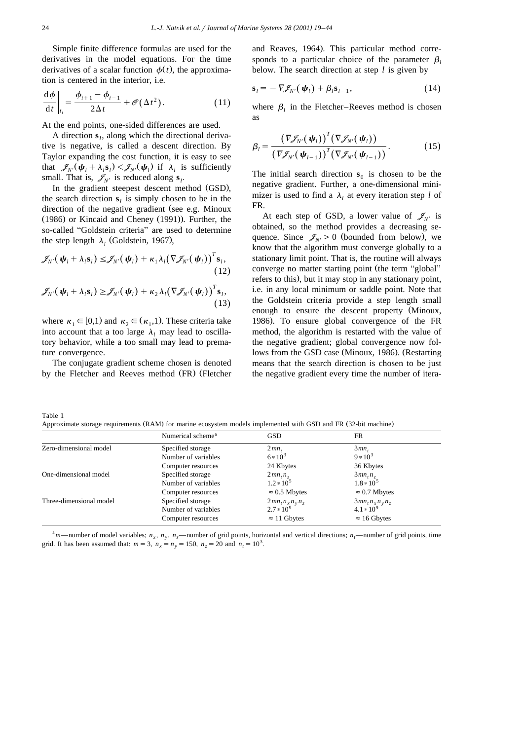Simple finite difference formulas are used for the derivatives in the model equations. For the time derivatives of a scalar function  $\phi(t)$ , the approximation is centered in the interior, i.e.

$$
\frac{\mathrm{d}\,\phi}{\mathrm{d}t}\bigg|_{t_i} = \frac{\phi_{i+1} - \phi_{i-1}}{2\,\Delta\,t} + \mathscr{O}(\Delta t^2). \tag{11}
$$

At the end points, one-sided differences are used.

A direction **s** , along which the directional deriva- *<sup>l</sup>* tive is negative, is called a descent direction. By Taylor expanding the cost function, it is easy to see that  $\mathscr{J}_{N'}(\psi_l + \lambda_l \mathbf{s}_l) \lt \mathscr{J}_{N'}(\psi_l)$  if  $\lambda_l$  is sufficiently small. That is,  $\mathcal{J}_{N'}$  is reduced along  $s_l$ .

In the gradient steepest descent method (GSD), the search direction  $s_i$  is simply chosen to be in the direction of the negative gradient (see e.g. Minoux  $(1986)$  or Kincaid and Cheney  $(1991)$ ). Further, the so-called "Goldstein criteria" are used to determine the step length  $\lambda_i$  (Goldstein, 1967),

$$
\mathscr{J}_{N'}(\boldsymbol{\psi}_l + \lambda_l \mathbf{s}_l) \leq \mathscr{J}_{N'}(\boldsymbol{\psi}_l) + \kappa_1 \lambda_l (\nabla \mathscr{J}_{N'}(\boldsymbol{\psi}_l))^{T} \mathbf{s}_l,
$$
\n(12)  
\n
$$
\mathscr{J}_{N'}(\boldsymbol{\psi}_l + \lambda_l \mathbf{s}_l) \geq \mathscr{J}_{N'}(\boldsymbol{\psi}_l) + \kappa_2 \lambda_l (\nabla \mathscr{J}_{N'}(\boldsymbol{\psi}_l))^{T} \mathbf{s}_l,
$$
\n(13)

where  $\kappa_1 \in [0,1)$  and  $\kappa_2 \in (\kappa_1,1)$ . These criteria take into account that a too large  $\lambda_i$  may lead to oscillatory behavior, while a too small may lead to premature convergence.

The conjugate gradient scheme chosen is denoted by the Fletcher and Reeves method (FR) (Fletcher

and Reaves, 1964). This particular method corresponds to a particular choice of the parameter  $\beta$ below. The search direction at step *l* is given by

$$
\mathbf{s}_{l} = -\nabla \mathcal{J}_{N'}(\boldsymbol{\psi}_{l}) + \beta_{l} \mathbf{s}_{l-1}, \qquad (14)
$$

where  $\beta_l$  in the Fletcher–Reeves method is chosen as

$$
\beta_{l} = \frac{\left(\nabla \mathcal{J}_{N'}(\boldsymbol{\psi}_{l})\right)^{T} \left(\nabla \mathcal{J}_{N'}(\boldsymbol{\psi}_{l})\right)}{\left(\nabla \mathcal{J}_{N'}(\boldsymbol{\psi}_{l-1})\right)^{T} \left(\nabla \mathcal{J}_{N'}(\boldsymbol{\psi}_{l-1})\right)}.
$$
\n(15)

The initial search direction  $s_0$  is chosen to be the negative gradient. Further, a one-dimensional minimizer is used to find a  $\lambda_l$  at every iteration step *l* of FR.

At each step of GSD, a lower value of  $\mathscr{J}_{N'}$  is obtained, so the method provides a decreasing sequence. Since  $\mathcal{J}_{N'} \geq 0$  (bounded from below), we know that the algorithm must converge globally to a stationary limit point. That is, the routine will always converge no matter starting point (the term "global" refers to this), but it may stop in any stationary point, i.e. in any local minimum or saddle point. Note that the Goldstein criteria provide a step length small enough to ensure the descent property (Minoux, 1986). To ensure global convergence of the FR method, the algorithm is restarted with the value of the negative gradient; global convergence now follows from the GSD case (Minoux, 1986). (Restarting means that the search direction is chosen to be just the negative gradient every time the number of itera-

Table 1

Approximate storage requirements (RAM) for marine ecosystem models implemented with GSD and FR (32-bit machine)

|                         | Numerical scheme <sup>a</sup> | <b>GSD</b>           | FR                   |
|-------------------------|-------------------------------|----------------------|----------------------|
| Zero-dimensional model  | Specified storage             | 2mn.                 | 3mn,                 |
|                         | Number of variables           | $6*10^3$             | $9 * 10^3$           |
|                         | Computer resources            | 24 Kbytes            | 36 Kbytes            |
| One-dimensional model   | Specified storage             | $2mn, n$ ,           | $3mn_1n_2$           |
|                         | Number of variables           | $1.2 * 105$          | $1.8 * 10^5$         |
|                         | Computer resources            | $\approx 0.5$ Mbytes | $\approx 0.7$ Mbytes |
| Three-dimensional model | Specified storage             | $2mn_t n_x n_y n_z$  | $3mn_t n_x n_y n_z$  |
|                         | Number of variables           | $2.7 * 10^9$         | $4.1 * 10^{9}$       |
|                         | Computer resources            | $\approx$ 11 Gbytes  | $\approx 16$ Gbytes  |

 $^{\alpha}$ *m*—number of model variables;  $n_x$ ,  $n_y$ ,  $n_z$ —number of grid points, horizontal and vertical directions;  $n_t$ —number of grid points, time grid. It has been assumed that:  $m = 3$ ,  $n_x = n_y = 150$ ,  $n_z = 20$  and  $n_t = 10^3$ .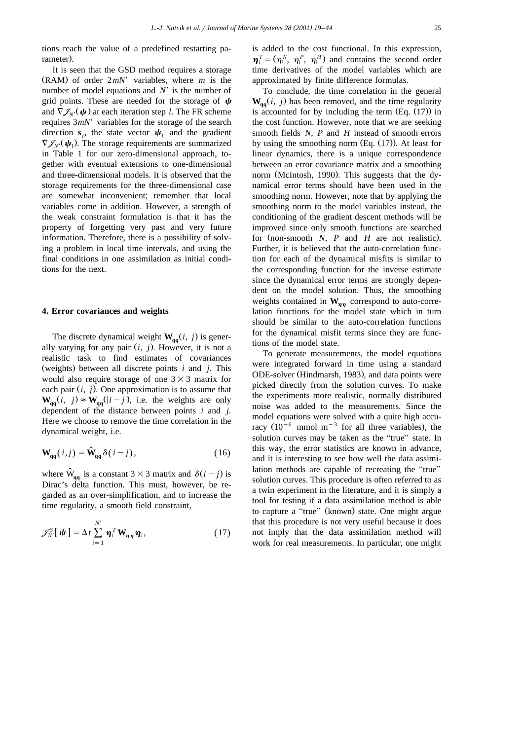tions reach the value of a predefined restarting parameter).

It is seen that the GSD method requires a storage  $(RAM)$  of order  $2mN'$  variables, where *m* is the number of model equations and  $N<sup>′</sup>$  is the number of grid points. These are needed for the storage of  $\psi$ and  $\nabla \mathcal{J}_{N'}(\psi)$  at each iteration step *l*. The FR scheme requires  $3mN'$  variables for the storage of the search direction  $s_l$ , the state vector  $\psi_l$  and the gradient  $\nabla \mathscr{J}_{N'}(\psi)$ . The storage requirements are summarized in Table 1 for our zero-dimensional approach, together with eventual extensions to one-dimensional and three-dimensional models. It is observed that the storage requirements for the three-dimensional case are somewhat inconvenient; remember that local variables come in addition. However, a strength of the weak constraint formulation is that it has the property of forgetting very past and very future information. Therefore, there is a possibility of solving a problem in local time intervals, and using the final conditions in one assimilation as initial conditions for the next.

#### **4. Error covariances and weights**

The discrete dynamical weight  $W_{qq}(i, j)$  is generally varying for any pair  $(i, j)$ . However, it is not a realistic task to find estimates of covariances (weights) between all discrete points  $i$  and  $j$ . This would also require storage of one  $3\times3$  matrix for each pair  $(i, j)$ . One approximation is to assume that  $W_{qq}(i, j) \approx W_{qq}(|i - j|)$ , i.e. the weights are only dependent of the distance between points *i* and *j*. Here we choose to remove the time correlation in the dynamical weight, i.e.

$$
\mathbf{W}_{qq}(i,j) = \hat{\mathbf{W}}_{qq} \delta(i-j), \qquad (16)
$$

where  $\hat{W}_{qq}$  is a constant 3  $\times$  3 matrix and  $\delta(i-j)$  is Dirac's delta function. This must, however, be regarded as an over-simplification, and to increase the time regularity, a smooth field constraint,

$$
\mathscr{J}_{N'}^{S}[\boldsymbol{\psi}] = \Delta t \sum_{i=1}^{N'} \boldsymbol{\eta}_{i}^{T} \mathbf{W}_{\boldsymbol{\eta} \boldsymbol{\eta}} \boldsymbol{\eta}_{i},
$$
\n(17)

is added to the cost functional. In this expression,  $\boldsymbol{\eta}_i^T = (\eta_i^N, \eta_i^P, \eta_i^H)$  and contains the second order time derivatives of the model variables which are approximated by finite difference formulas.

To conclude, the time correlation in the general  $W_{qq}(i, j)$  has been removed, and the time regularity is accounted for by including the term  $(Eq. (17))$  in the cost function. However, note that we are seeking smooth fields *N*, *P* and *H* instead of smooth errors by using the smoothing norm  $(Eq. (17))$ . At least for linear dynamics, there is a unique correspondence between an error covariance matrix and a smoothing norm (McIntosh, 1990). This suggests that the dynamical error terms should have been used in the smoothing norm. However, note that by applying the smoothing norm to the model variables instead, the conditioning of the gradient descent methods will be improved since only smooth functions are searched for (non-smooth  $N$ ,  $P$  and  $H$  are not realistic). Further, it is believed that the auto-correlation function for each of the dynamical misfits is similar to the corresponding function for the inverse estimate since the dynamical error terms are strongly dependent on the model solution. Thus, the smoothing weights contained in  $W_{\eta\eta}$  correspond to auto-correlation functions for the model state which in turn should be similar to the auto-correlation functions for the dynamical misfit terms since they are functions of the model state.

To generate measurements, the model equations were integrated forward in time using a standard ODE-solver (Hindmarsh, 1983), and data points were picked directly from the solution curves. To make the experiments more realistic, normally distributed noise was added to the measurements. Since the model equations were solved with a quite high accuracy  $(10^{-6}$  mmol m<sup>-3</sup> for all three variables), the solution curves may be taken as the "true" state. In this way, the error statistics are known in advance, and it is interesting to see how well the data assimilation methods are capable of recreating the "true" solution curves. This procedure is often referred to as a twin experiment in the literature, and it is simply a tool for testing if a data assimilation method is able to capture a "true" (known) state. One might argue that this procedure is not very useful because it does not imply that the data assimilation method will work for real measurements. In particular, one might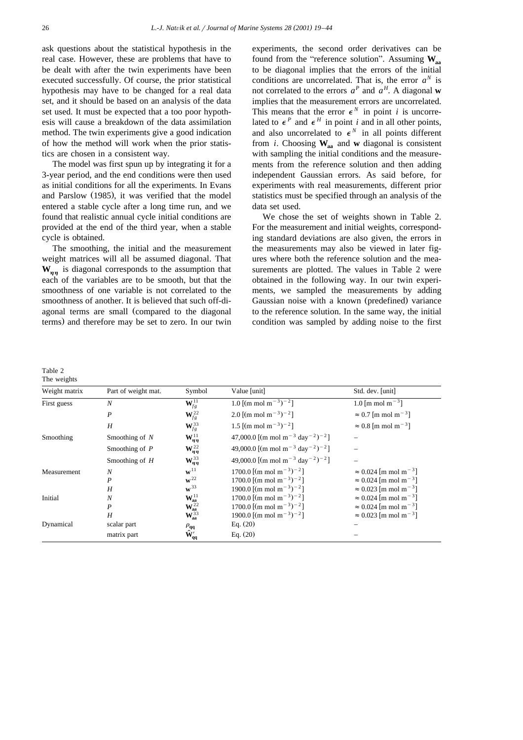ask questions about the statistical hypothesis in the real case. However, these are problems that have to be dealt with after the twin experiments have been executed successfully. Of course, the prior statistical hypothesis may have to be changed for a real data set, and it should be based on an analysis of the data set used. It must be expected that a too poor hypothesis will cause a breakdown of the data assimilation method. The twin experiments give a good indication of how the method will work when the prior statistics are chosen in a consistent way.

The model was first spun up by integrating it for a 3-year period, and the end conditions were then used as initial conditions for all the experiments. In Evans and Parslow (1985), it was verified that the model entered a stable cycle after a long time run, and we found that realistic annual cycle initial conditions are provided at the end of the third year, when a stable cycle is obtained.

The smoothing, the initial and the measurement weight matrices will all be assumed diagonal. That  $W_{\eta\eta}$  is diagonal corresponds to the assumption that each of the variables are to be smooth, but that the smoothness of one variable is not correlated to the smoothness of another. It is believed that such off-diagonal terms are small (compared to the diagonal terms) and therefore may be set to zero. In our twin

experiments, the second order derivatives can be found from the "reference solution". Assuming  $W_{\infty}$ to be diagonal implies that the errors of the initial conditions are uncorrelated. That is, the error  $a^N$  is not correlated to the errors  $a^P$  and  $a^H$ . A diagonal **w** implies that the measurement errors are uncorrelated. This means that the error  $\epsilon^N$  in point *i* is uncorrelated to  $\epsilon^P$  and  $\epsilon^H$  in point *i* and in all other points, and also uncorrelated to  $\epsilon^N$  in all points different from *i*. Choosing  $W_{aa}$  and **w** diagonal is consistent with sampling the initial conditions and the measurements from the reference solution and then adding independent Gaussian errors. As said before, for experiments with real measurements, different prior statistics must be specified through an analysis of the data set used.

We chose the set of weights shown in Table 2. For the measurement and initial weights, corresponding standard deviations are also given, the errors in the measurements may also be viewed in later figures where both the reference solution and the measurements are plotted. The values in Table 2 were obtained in the following way. In our twin experiments, we sampled the measurements by adding Gaussian noise with a known (predefined) variance to the reference solution. In the same way, the initial condition was sampled by adding noise to the first

Table 2 The weights

| Weight matrix | Part of weight mat. | Symbol                                     | Value [unit]                                                         | Std. dev. [unit]                          |
|---------------|---------------------|--------------------------------------------|----------------------------------------------------------------------|-------------------------------------------|
| First guess   | N                   | $\mathbf{W}_{fg}^{11}$                     | $1.0$ [(m mol m <sup>-3</sup> ) <sup>-2</sup> ]                      | 1.0 [m mol m <sup><math>-3</math></sup> ] |
|               | P                   | $\mathbf{W}_{fg}^{22}$                     | 2.0 [(m mol m <sup>-3</sup> ) <sup>-2</sup> ]                        | $\approx 0.7$ [m mol m <sup>-3</sup> ]    |
|               | H                   | $\mathbf{W}_{fg}^{33}$                     | $1.5$ [(m mol m <sup>-3</sup> ) <sup>-2</sup> ]                      | $\approx 0.8$ [m mol m <sup>-3</sup> ]    |
| Smoothing     | Smoothing of $N$    | $\mathbf{W}_{\bm{\eta}\bm{\eta}}^{11}$     | 47,000.0 [(m mol m <sup>-3</sup> day <sup>-2</sup> ) <sup>-2</sup> ] |                                           |
|               | Smoothing of $P$    | $W_{\eta\eta}^{22}$                        | 49,000.0 [(m mol m <sup>-3</sup> day <sup>-2</sup> ) <sup>-2</sup> ] |                                           |
|               | Smoothing of $H$    | $W_{\eta\eta}^{33}$                        | 49,000.0 [(m mol m <sup>-3</sup> day <sup>-2</sup> ) <sup>-2</sup> ] |                                           |
| Measurement   | N                   | $\mathbf{w}^{11}$                          | $1700.0$ [(m mol m <sup>-3</sup> ) <sup>-2</sup> ]                   | $\approx 0.024$ [m mol m <sup>-3</sup> ]  |
|               | P                   | $\mathbf{w}^{22}$                          | $1700.0$ [(m mol m <sup>-3</sup> ) <sup>-2</sup> ]                   | $\approx 0.024$ [m mol m <sup>-3</sup> ]  |
|               | H                   | $\mathbf{w}^{33}$                          | 1900.0 [(m mol m <sup>-3</sup> ) <sup>-2</sup> ]                     | $\approx 0.023$ [m mol m <sup>-3</sup> ]  |
| Initial       | N                   | $\mathbf{W}_{aa}^{11}$                     | 1700.0 [(m mol m <sup>-3</sup> ) <sup>-2</sup> ]                     | $\approx 0.024$ [m mol m <sup>-3</sup> ]  |
|               | $\boldsymbol{P}$    | $\overline{\mathbf{W}}_{aa}^{22}$          | $1700.0$ [(m mol m <sup>-3</sup> ) <sup>-2</sup> ]                   | $\approx 0.024$ [m mol m <sup>-3</sup> ]  |
|               | H                   | $\overline{\mathbf{W}}_{aa}^{33}$          | 1900.0 [(m mol m <sup>-3</sup> ) <sup>-2</sup> ]                     | $\approx 0.023$ [m mol m <sup>-3</sup> ]  |
| Dynamical     | scalar part         | $\rho_{qq}$                                | Eq. $(20)$                                                           |                                           |
|               | matrix part         | $\hat{\mathbf{W}}_{\mathbf{q}\mathbf{q}}'$ | Eq. $(20)$                                                           |                                           |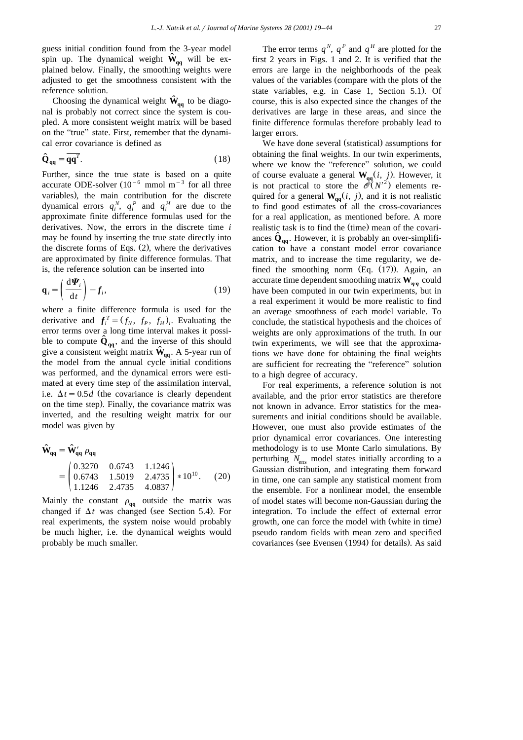guess initial condition found from the 3-year model spin up. The dynamical weight  $\hat{W}_{qa}$  will be explained below. Finally, the smoothing weights were adjusted to get the smoothness consistent with the reference solution.

Choosing the dynamical weight  $\hat{W}_{qa}$  to be diagonal is probably not correct since the system is coupled. A more consistent weight matrix will be based on the "true" state. First, remember that the dynamical error covariance is defined as

$$
\hat{\mathbf{Q}}_{\mathbf{qq}} = \overline{\mathbf{qq}^T}.\tag{18}
$$

Further, since the true state is based on a quite accurate ODE-solver  $(10^{-6}$  mmol m<sup>-3</sup> for all three variables), the main contribution for the discrete dynamical errors  $q_i^N$ ,  $q_i^P$  and  $q_i^H$  are due to the approximate finite difference formulas used for the derivatives. Now, the errors in the discrete time *i* may be found by inserting the true state directly into the discrete forms of Eqs.  $(2)$ , where the derivatives are approximated by finite difference formulas. That is, the reference solution can be inserted into

$$
\mathbf{q}_i = \left(\frac{\mathrm{d}\boldsymbol{\varPsi}_i}{\mathrm{d}t}\right) - \boldsymbol{f}_i,\tag{19}
$$

where a finite difference formula is used for the derivative and  $f_i^T = (f_N, f_P, f_H)_i$ . Evaluating the error terms over a long time interval makes it possible to compute  $\hat{\mathbf{Q}}_{\mathbf{q}\mathbf{q}}$ , and the inverse of this should give a consistent weight matrix  $\hat{W}_{qq}$ . A 5-year run of the model from the annual cycle initial conditions was performed, and the dynamical errors were estimated at every time step of the assimilation interval, i.e.  $\Delta t = 0.5d$  (the covariance is clearly dependent on the time step). Finally, the covariance matrix was inverted, and the resulting weight matrix for our model was given by

$$
\hat{\mathbf{W}}_{qq} = \hat{\mathbf{W}}'_{qq} \rho_{qq}
$$
\n
$$
= \begin{pmatrix}\n0.3270 & 0.6743 & 1.1246 \\
0.6743 & 1.5019 & 2.4735 \\
1.1246 & 2.4735 & 4.0837\n\end{pmatrix} * 10^{10}.
$$
\n(20)

Mainly the constant  $\rho_{qq}$  outside the matrix was changed if  $\Delta t$  was changed (see Section 5.4). For real experiments, the system noise would probably be much higher, i.e. the dynamical weights would probably be much smaller.

The error terms  $q^N$ ,  $q^P$  and  $q^H$  are plotted for the first 2 years in Figs. 1 and 2. It is verified that the errors are large in the neighborhoods of the peak values of the variables (compare with the plots of the state variables, e.g. in Case 1, Section 5.1). Of course, this is also expected since the changes of the derivatives are large in these areas, and since the finite difference formulas therefore probably lead to larger errors.

We have done several (statistical) assumptions for obtaining the final weights. In our twin experiments, where we know the "reference" solution, we could of course evaluate a general  $W_{\alpha\alpha}(i, j)$ . However, it is not practical to store the  $\mathscr{O}(N^2)$  elements required for a general  $W_{qq}(i, j)$ , and it is not realistic to find good estimates of all the cross-covariances for a real application, as mentioned before. A more realistic task is to find the (time) mean of the covariances  $\mathbf{Q}_{\mathbf{q}\mathbf{q}}$ . However, it is probably an over-simplification to have a constant model error covariance matrix, and to increase the time regularity, we defined the smoothing norm  $(Eq. (17))$ . Again, an accurate time dependent smoothing matrix  $W_{nn}$  could have been computed in our twin experiments, but in a real experiment it would be more realistic to find an average smoothness of each model variable. To conclude, the statistical hypothesis and the choices of weights are only approximations of the truth. In our twin experiments, we will see that the approximations we have done for obtaining the final weights are sufficient for recreating the "reference" solution to a high degree of accuracy.

For real experiments, a reference solution is not available, and the prior error statistics are therefore not known in advance. Error statistics for the measurements and initial conditions should be available. However, one must also provide estimates of the prior dynamical error covariances. One interesting methodology is to use Monte Carlo simulations. By perturbing  $N_{\text{ens}}$  model states initially according to a Gaussian distribution, and integrating them forward in time, one can sample any statistical moment from the ensemble. For a nonlinear model, the ensemble of model states will become non-Gaussian during the integration. To include the effect of external error growth, one can force the model with (white in time) pseudo random fields with mean zero and specified covariances (see Evensen (1994) for details). As said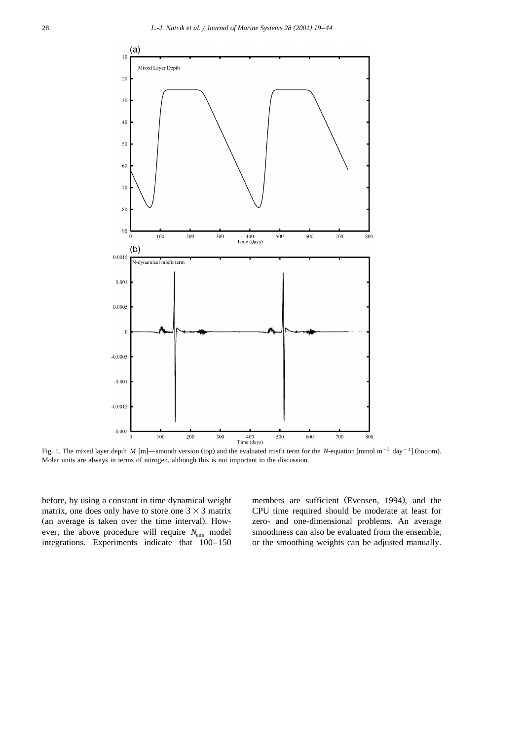

Fig. 1. The mixed layer depth *M* [m]—smooth version (top) and the evaluated misfit term for the *N*-equation [mmol m<sup>-3</sup> day<sup>-1</sup>] (bottom). Molar units are always in terms of nitrogen, although this is not important to the discussion.

before, by using a constant in time dynamical weight matrix, one does only have to store one  $3\times3$  matrix (an average is taken over the time interval). However, the above procedure will require  $N_{\text{ens}}$  model integrations. Experiments indicate that 100–150

members are sufficient (Evensen, 1994), and the CPU time required should be moderate at least for zero- and one-dimensional problems. An average smoothness can also be evaluated from the ensemble, or the smoothing weights can be adjusted manually.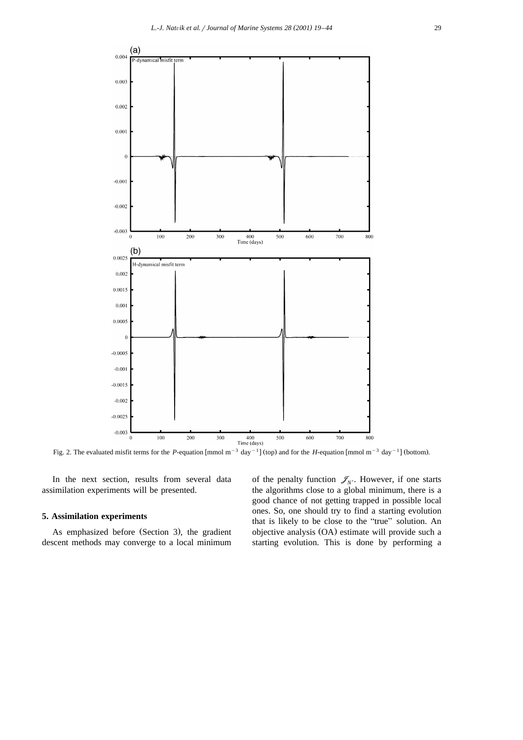

Fig. 2. The evaluated misfit terms for the *P*-equation  $\text{[mmol m}^{-3} \text{ day}^{-1} \text{]}$  (top) and for the *H*-equation  $\text{[mmol m}^{-3} \text{ day}^{-1} \text{]}$  (bottom).

In the next section, results from several data assimilation experiments will be presented.

### **5. Assimilation experiments**

As emphasized before (Section 3), the gradient descent methods may converge to a local minimum

of the penalty function  $\mathscr{J}_{N'}$ . However, if one starts the algorithms close to a global minimum, there is a good chance of not getting trapped in possible local ones. So, one should try to find a starting evolution that is likely to be close to the "true" solution. An objective analysis (OA) estimate will provide such a starting evolution. This is done by performing a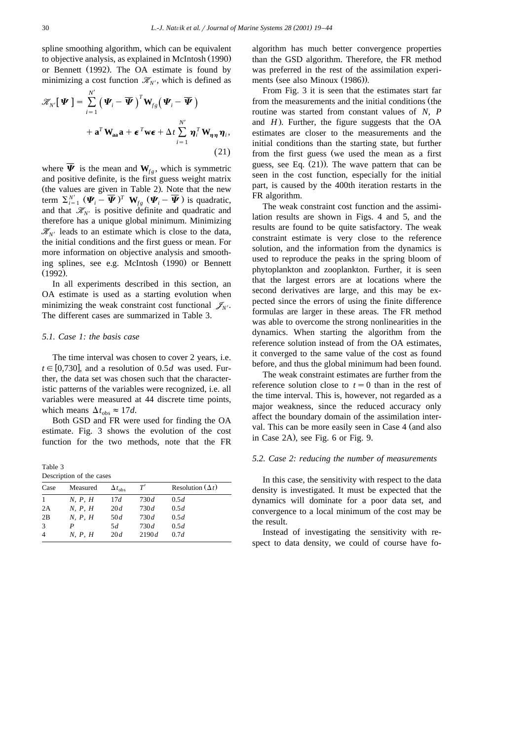spline smoothing algorithm, which can be equivalent to objective analysis, as explained in McIntosh (1990) or Bennett (1992). The OA estimate is found by minimizing a cost function  $\mathcal{K}_{N}$ , which is defined as

$$
\mathscr{K}_{N'}[\boldsymbol{\Psi}] = \sum_{i=1}^{N'} (\boldsymbol{\Psi}_i - \overline{\boldsymbol{\Psi}})^T \mathbf{W}_{fg} (\boldsymbol{\Psi}_i - \overline{\boldsymbol{\Psi}})
$$

$$
+ \mathbf{a}^T \mathbf{W}_{aa} \mathbf{a} + \boldsymbol{\epsilon}^T \mathbf{w} \boldsymbol{\epsilon} + \Delta t \sum_{i=1}^{N'} \boldsymbol{\eta}_i^T \mathbf{W}_{\eta \eta} \boldsymbol{\eta}_i,
$$
(21)

where  $\overline{\Psi}$  is the mean and  $W_{fg}$ , which is symmetric and positive definite, is the first guess weight matrix (the values are given in Table 2). Note that the new term  $\sum_{i=1}^{N'} (\Psi_i - \overline{\Psi})^T \mathbf{W}_{f_\rho} (\Psi_i - \overline{\Psi})$  is quadratic, and that  $\mathcal{K}_{N'}$  is positive definite and quadratic and therefore has a unique global minimum. Minimizing  $\mathcal{K}_{N'}$  leads to an estimate which is close to the data, the initial conditions and the first guess or mean. For more information on objective analysis and smoothing splines, see e.g. McIntosh (1990) or Bennett  $(1992)$ .

In all experiments described in this section, an OA estimate is used as a starting evolution when minimizing the weak constraint cost functional  $\mathscr{J}_{N}$ . The different cases are summarized in Table 3.

# *5.1. Case 1: the basis case*

The time interval was chosen to cover 2 years, i.e.  $t \in [0,730]$ , and a resolution of 0.5*d* was used. Further, the data set was chosen such that the characteristic patterns of the variables were recognized, i.e. all variables were measured at 44 discrete time points, which means  $\Delta t_{obs} \approx 17d$ .

Both GSD and FR were used for finding the OA estimate. Fig. 3 shows the evolution of the cost function for the two methods, note that the FR

Table 3 Description of the cases

| Case           | Measured | $\Delta t_{\rm obs}$ | T'    | Resolution $(\Delta t)$ |
|----------------|----------|----------------------|-------|-------------------------|
| $\mathbf{1}$   | N, P, H  | 17d                  | 730d  | 0.5d                    |
| 2A             | N. P. H  | 20d                  | 730d  | 0.5d                    |
| 2B             | N, P, H  | 50d                  | 730d  | 0.5d                    |
| 3              | P        | 5d                   | 730d  | 0.5d                    |
| $\overline{4}$ | N, P, H  | 20d                  | 2190d | 0.7d                    |

algorithm has much better convergence properties than the GSD algorithm. Therefore, the FR method was preferred in the rest of the assimilation experiments (see also Minoux (1986).

From Fig. 3 it is seen that the estimates start far from the measurements and the initial conditions (the routine was started from constant values of *N*, *P* and  $H$ ). Further, the figure suggests that the OA estimates are closer to the measurements and the initial conditions than the starting state, but further from the first guess (we used the mean as a first guess, see Eq.  $(21)$ ). The wave pattern that can be seen in the cost function, especially for the initial part, is caused by the 400th iteration restarts in the FR algorithm.

The weak constraint cost function and the assimilation results are shown in Figs. 4 and 5, and the results are found to be quite satisfactory. The weak constraint estimate is very close to the reference solution, and the information from the dynamics is used to reproduce the peaks in the spring bloom of phytoplankton and zooplankton. Further, it is seen that the largest errors are at locations where the second derivatives are large, and this may be expected since the errors of using the finite difference formulas are larger in these areas. The FR method was able to overcome the strong nonlinearities in the dynamics. When starting the algorithm from the reference solution instead of from the OA estimates, it converged to the same value of the cost as found before, and thus the global minimum had been found.

The weak constraint estimates are further from the reference solution close to  $t=0$  than in the rest of the time interval. This is, however, not regarded as a major weakness, since the reduced accuracy only affect the boundary domain of the assimilation interval. This can be more easily seen in Case 4 (and also in Case 2A), see Fig.  $6$  or Fig.  $9$ .

# *5.2. Case 2: reducing the number of measurements*

In this case, the sensitivity with respect to the data density is investigated. It must be expected that the dynamics will dominate for a poor data set, and convergence to a local minimum of the cost may be the result.

Instead of investigating the sensitivity with respect to data density, we could of course have fo-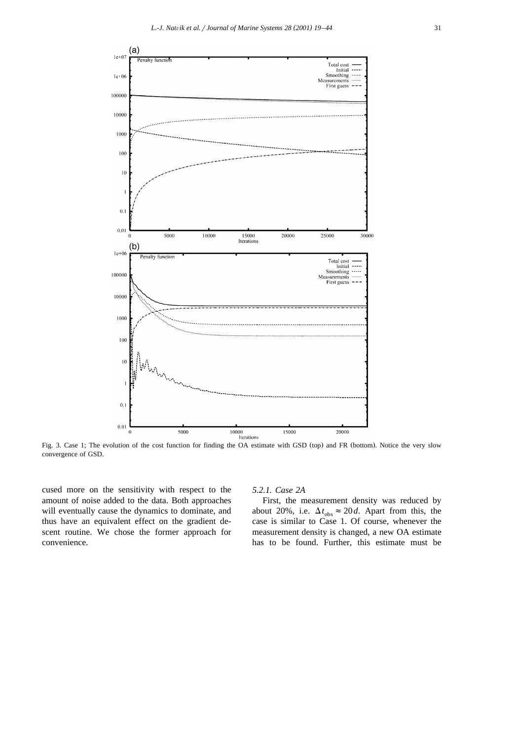

Fig. 3. Case 1; The evolution of the cost function for finding the OA estimate with GSD (top) and FR (bottom). Notice the very slow convergence of GSD.

cused more on the sensitivity with respect to the amount of noise added to the data. Both approaches will eventually cause the dynamics to dominate, and thus have an equivalent effect on the gradient descent routine. We chose the former approach for convenience.

# *5.2.1. Case 2A*

First, the measurement density was reduced by about 20%, i.e.  $\Delta t_{obs} \approx 20 d$ . Apart from this, the case is similar to Case 1. Of course, whenever the measurement density is changed, a new OA estimate has to be found. Further, this estimate must be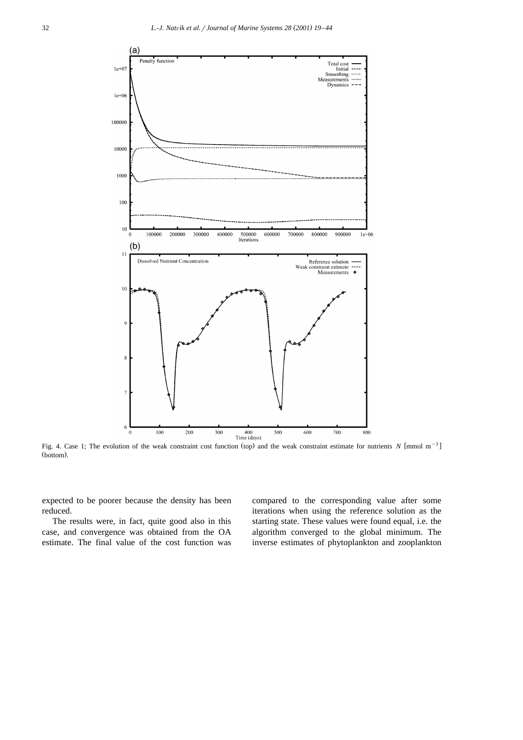

Fig. 4. Case 1; The evolution of the weak constraint cost function (top) and the weak constraint estimate for nutrients *N* [mmol m<sup>-3</sup>] (bottom).

expected to be poorer because the density has been reduced.

The results were, in fact, quite good also in this case, and convergence was obtained from the OA estimate. The final value of the cost function was compared to the corresponding value after some iterations when using the reference solution as the starting state. These values were found equal, i.e. the algorithm converged to the global minimum. The inverse estimates of phytoplankton and zooplankton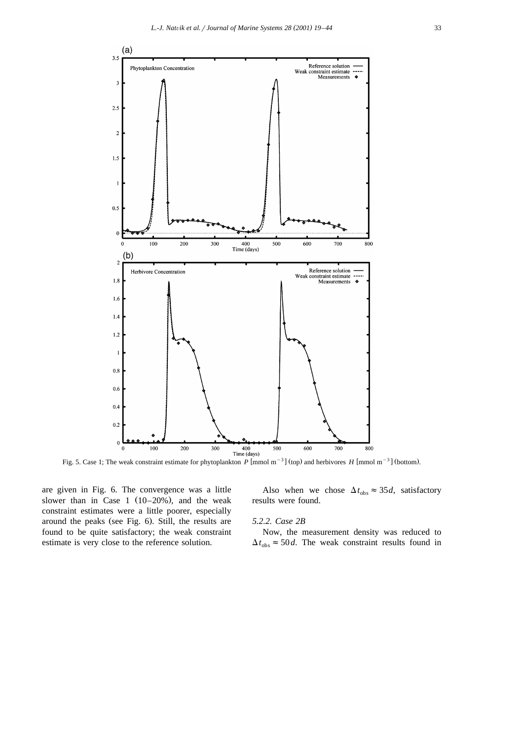

Fig. 5. Case 1; The weak constraint estimate for phytoplankton *P* [mmol m<sup>-3</sup>] (top) and herbivores *H* [mmol m<sup>-3</sup>] (bottom).

are given in Fig. 6. The convergence was a little slower than in Case 1  $(10-20\%)$ , and the weak constraint estimates were a little poorer, especially around the peaks (see Fig. 6). Still, the results are found to be quite satisfactory; the weak constraint estimate is very close to the reference solution.

Also when we chose  $\Delta t_{obs} \approx 35d$ , satisfactory results were found.

# *5.2.2. Case 2B*

Now, the measurement density was reduced to  $\Delta t_{obs} \approx 50d$ . The weak constraint results found in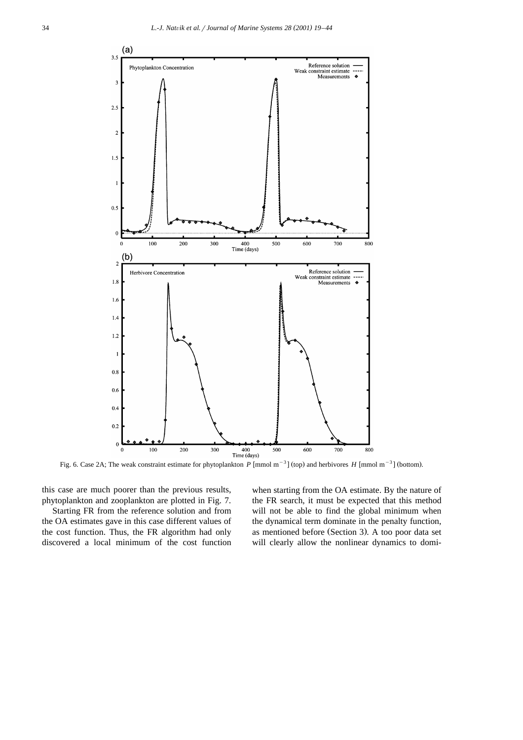

Fig. 6. Case 2A; The weak constraint estimate for phytoplankton *P* [mmol m<sup>-3</sup>] (top) and herbivores *H* [mmol m<sup>-3</sup>] (bottom).

this case are much poorer than the previous results, phytoplankton and zooplankton are plotted in Fig. 7.

Starting FR from the reference solution and from the OA estimates gave in this case different values of the cost function. Thus, the FR algorithm had only discovered a local minimum of the cost function when starting from the OA estimate. By the nature of the FR search, it must be expected that this method will not be able to find the global minimum when the dynamical term dominate in the penalty function, as mentioned before (Section 3). A too poor data set will clearly allow the nonlinear dynamics to domi-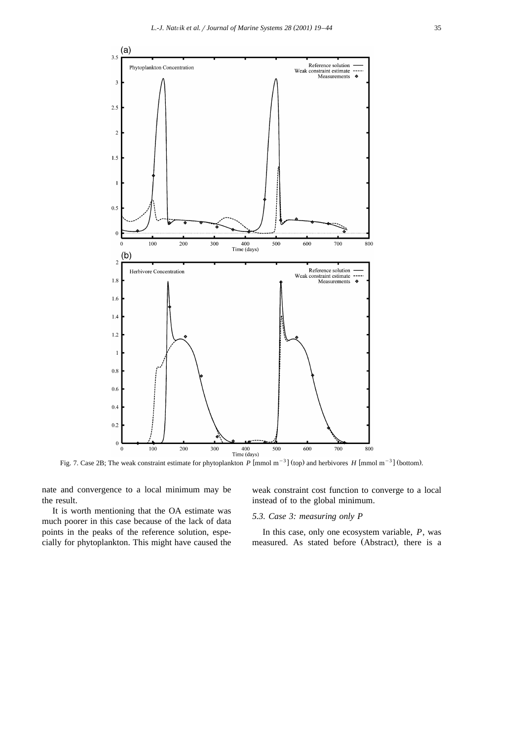

Fig. 7. Case 2B; The weak constraint estimate for phytoplankton *P* [mmol m<sup>-3</sup>] (top) and herbivores *H* [mmol m<sup>-3</sup>] (bottom).

nate and convergence to a local minimum may be the result.

It is worth mentioning that the OA estimate was much poorer in this case because of the lack of data points in the peaks of the reference solution, especially for phytoplankton. This might have caused the weak constraint cost function to converge to a local instead of to the global minimum.

### *5.3. Case 3: measuring only P*

In this case, only one ecosystem variable, *P*, was measured. As stated before (Abstract), there is a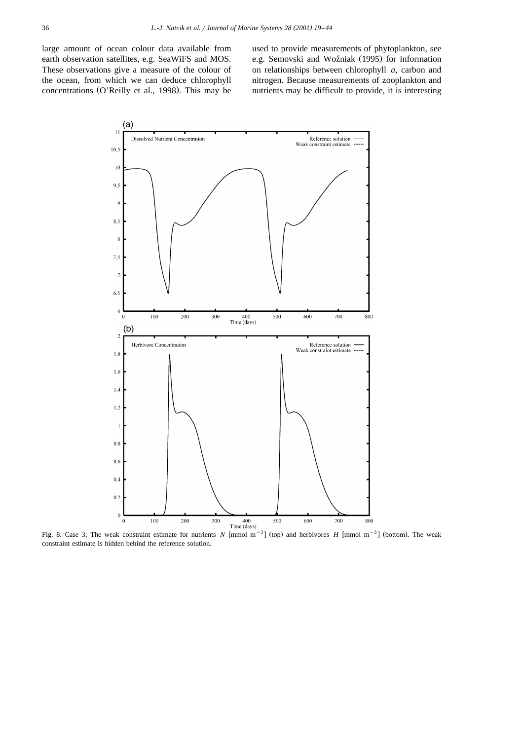large amount of ocean colour data available from earth observation satellites, e.g. SeaWiFS and MOS. These observations give a measure of the colour of the ocean, from which we can deduce chlorophyll concentrations (O'Reilly et al., 1998). This may be

used to provide measurements of phytoplankton, see e.g. Semovski and Woźniak (1995) for information on relationships between chlorophyll *a*, carbon and nitrogen. Because measurements of zooplankton and nutrients may be difficult to provide, it is interesting



Fig. 8. Case 3; The weak constraint estimate for nutrients *N* [mmol m<sup>-3</sup>] (top) and herbivores *H* [mmol m<sup>-3</sup>] (bottom). The weak constraint estimate is hidden behind the reference solution.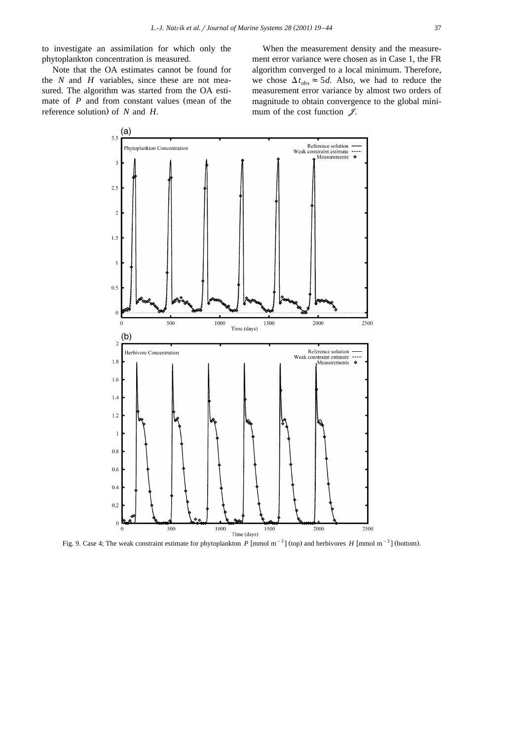to investigate an assimilation for which only the phytoplankton concentration is measured.

Note that the OA estimates cannot be found for the *N* and *H* variables, since these are not measured. The algorithm was started from the OA estimate of  *and from constant values (mean of the* reference solution) of  $N$  and  $H$ .

When the measurement density and the measurement error variance were chosen as in Case 1, the FR algorithm converged to a local minimum. Therefore, we chose  $\Delta t_{obs} \approx 5d$ . Also, we had to reduce the measurement error variance by almost two orders of magnitude to obtain convergence to the global minimum of the cost function  $\mathscr{J}$ .



Fig. 9. Case 4; The weak constraint estimate for phytoplankton *P* [mmol m<sup>-3</sup>] (top) and herbivores *H* [mmol m<sup>-3</sup>] (bottom).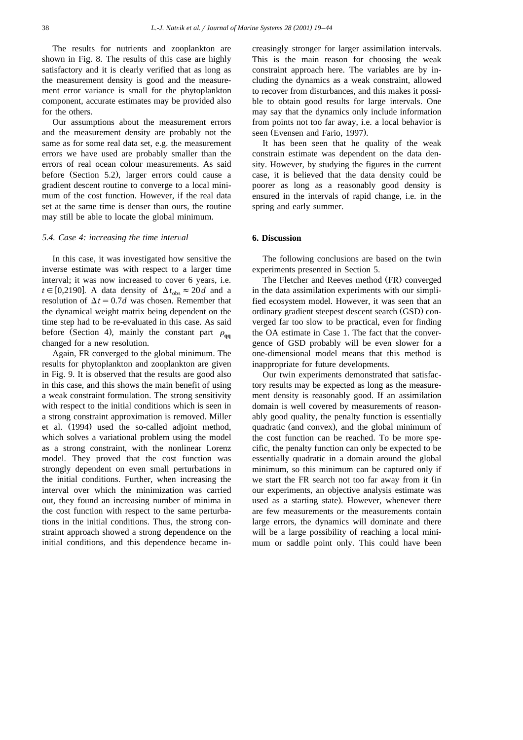The results for nutrients and zooplankton are shown in Fig. 8. The results of this case are highly satisfactory and it is clearly verified that as long as the measurement density is good and the measurement error variance is small for the phytoplankton component, accurate estimates may be provided also for the others.

Our assumptions about the measurement errors and the measurement density are probably not the same as for some real data set, e.g. the measurement errors we have used are probably smaller than the errors of real ocean colour measurements. As said before (Section 5.2), larger errors could cause a gradient descent routine to converge to a local minimum of the cost function. However, if the real data set at the same time is denser than ours, the routine may still be able to locate the global minimum.

#### *5.4. Case 4: increasing the time interval*

In this case, it was investigated how sensitive the inverse estimate was with respect to a larger time interval; it was now increased to cover 6 years, i.e.  $t \in [0,2190]$ . A data density of  $\Delta t_{obs} \approx 20 d$  and a resolution of  $\Delta t = 0.7d$  was chosen. Remember that the dynamical weight matrix being dependent on the time step had to be re-evaluated in this case. As said before (Section 4), mainly the constant part  $\rho_{\text{eq}}$ changed for a new resolution.

Again, FR converged to the global minimum. The results for phytoplankton and zooplankton are given in Fig. 9. It is observed that the results are good also in this case, and this shows the main benefit of using a weak constraint formulation. The strong sensitivity with respect to the initial conditions which is seen in a strong constraint approximation is removed. Miller et al. (1994) used the so-called adjoint method, which solves a variational problem using the model as a strong constraint, with the nonlinear Lorenz model. They proved that the cost function was strongly dependent on even small perturbations in the initial conditions. Further, when increasing the interval over which the minimization was carried out, they found an increasing number of minima in the cost function with respect to the same perturbations in the initial conditions. Thus, the strong constraint approach showed a strong dependence on the initial conditions, and this dependence became increasingly stronger for larger assimilation intervals. This is the main reason for choosing the weak constraint approach here. The variables are by including the dynamics as a weak constraint, allowed to recover from disturbances, and this makes it possible to obtain good results for large intervals. One may say that the dynamics only include information from points not too far away, i.e. a local behavior is seen (Evensen and Fario, 1997).

It has been seen that he quality of the weak constrain estimate was dependent on the data density. However, by studying the figures in the current case, it is believed that the data density could be poorer as long as a reasonably good density is ensured in the intervals of rapid change, i.e. in the spring and early summer.

# **6. Discussion**

The following conclusions are based on the twin experiments presented in Section 5.

The Fletcher and Reeves method (FR) converged in the data assimilation experiments with our simplified ecosystem model. However, it was seen that an ordinary gradient steepest descent search (GSD) converged far too slow to be practical, even for finding the OA estimate in Case 1. The fact that the convergence of GSD probably will be even slower for a one-dimensional model means that this method is inappropriate for future developments.

Our twin experiments demonstrated that satisfactory results may be expected as long as the measurement density is reasonably good. If an assimilation domain is well covered by measurements of reasonably good quality, the penalty function is essentially quadratic (and convex), and the global minimum of the cost function can be reached. To be more specific, the penalty function can only be expected to be essentially quadratic in a domain around the global minimum, so this minimum can be captured only if we start the FR search not too far away from it (in our experiments, an objective analysis estimate was used as a starting state). However, whenever there are few measurements or the measurements contain large errors, the dynamics will dominate and there will be a large possibility of reaching a local minimum or saddle point only. This could have been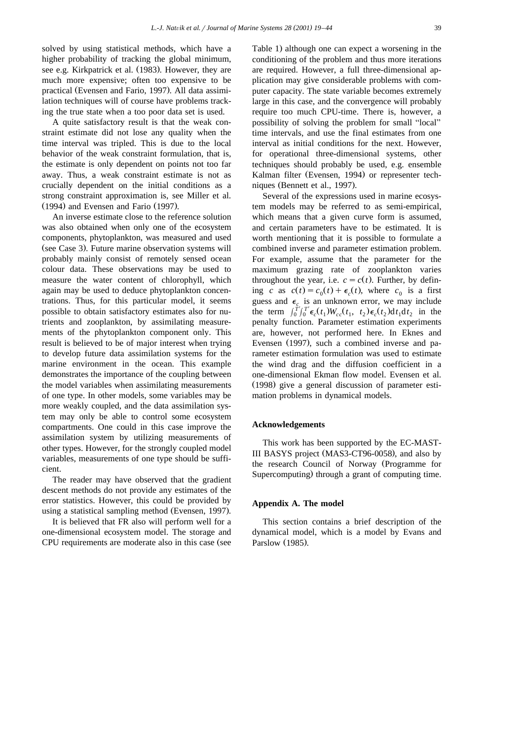solved by using statistical methods, which have a higher probability of tracking the global minimum, see e.g. Kirkpatrick et al. (1983). However, they are much more expensive; often too expensive to be practical (Evensen and Fario, 1997). All data assimilation techniques will of course have problems tracking the true state when a too poor data set is used.

A quite satisfactory result is that the weak constraint estimate did not lose any quality when the time interval was tripled. This is due to the local behavior of the weak constraint formulation, that is, the estimate is only dependent on points not too far away. Thus, a weak constraint estimate is not as crucially dependent on the initial conditions as a strong constraint approximation is, see Miller et al.  $(1994)$  and Evensen and Fario  $(1997)$ .

An inverse estimate close to the reference solution was also obtained when only one of the ecosystem components, phytoplankton, was measured and used (see Case 3). Future marine observation systems will probably mainly consist of remotely sensed ocean colour data. These observations may be used to measure the water content of chlorophyll, which again may be used to deduce phytoplankton concentrations. Thus, for this particular model, it seems possible to obtain satisfactory estimates also for nutrients and zooplankton, by assimilating measurements of the phytoplankton component only. This result is believed to be of major interest when trying to develop future data assimilation systems for the marine environment in the ocean. This example demonstrates the importance of the coupling between the model variables when assimilating measurements of one type. In other models, some variables may be more weakly coupled, and the data assimilation system may only be able to control some ecosystem compartments. One could in this case improve the assimilation system by utilizing measurements of other types. However, for the strongly coupled model variables, measurements of one type should be sufficient.

The reader may have observed that the gradient descent methods do not provide any estimates of the error statistics. However, this could be provided by using a statistical sampling method (Evensen, 1997).

It is believed that FR also will perform well for a one-dimensional ecosystem model. The storage and CPU requirements are moderate also in this case (see

Table 1) although one can expect a worsening in the conditioning of the problem and thus more iterations are required. However, a full three-dimensional application may give considerable problems with computer capacity. The state variable becomes extremely large in this case, and the convergence will probably require too much CPU-time. There is, however, a possibility of solving the problem for small "local" time intervals, and use the final estimates from one interval as initial conditions for the next. However, for operational three-dimensional systems, other techniques should probably be used, e.g. ensemble Kalman filter (Evensen, 1994) or representer techniques (Bennett et al., 1997).

Several of the expressions used in marine ecosystem models may be referred to as semi-empirical, which means that a given curve form is assumed, and certain parameters have to be estimated. It is worth mentioning that it is possible to formulate a combined inverse and parameter estimation problem. For example, assume that the parameter for the maximum grazing rate of zooplankton varies throughout the year, i.e.  $c = c(t)$ . Further, by defining *c* as  $c(t) = c_0(t) + \epsilon_c(t)$ , where  $c_0$  is a first guess and  $\epsilon_c$  is an unknown error, we may include the term  $\int_0^T \int_0^T \epsilon_c(t_1) W_{cc}(t_1, t_2) \epsilon_c(t_2) dt_1 dt_2$  in the penalty function. Parameter estimation experiments are, however, not performed here. In Eknes and Evensen (1997), such a combined inverse and parameter estimation formulation was used to estimate the wind drag and the diffusion coefficient in a one-dimensional Ekman flow model. Evensen et al.  $(1998)$  give a general discussion of parameter estimation problems in dynamical models.

#### **Acknowledgements**

This work has been supported by the EC-MAST-III BASYS project (MAS3-CT96-0058), and also by the research Council of Norway (Programme for Supercomputing) through a grant of computing time.

#### **Appendix A. The model**

This section contains a brief description of the dynamical model, which is a model by Evans and Parslow (1985).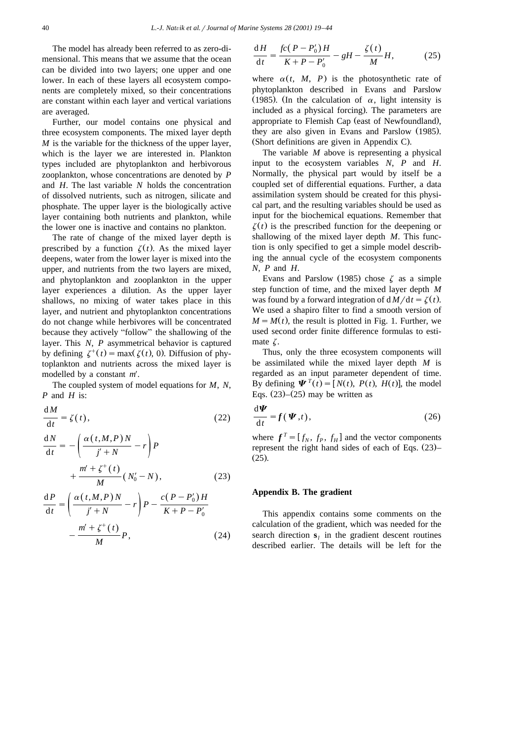The model has already been referred to as zero-dimensional. This means that we assume that the ocean can be divided into two layers; one upper and one lower. In each of these layers all ecosystem components are completely mixed, so their concentrations are constant within each layer and vertical variations are averaged.

Further, our model contains one physical and three ecosystem components. The mixed layer depth *M* is the variable for the thickness of the upper layer, which is the layer we are interested in. Plankton types included are phytoplankton and herbivorous zooplankton, whose concentrations are denoted by *P* and *H*. The last variable *N* holds the concentration of dissolved nutrients, such as nitrogen, silicate and phosphate. The upper layer is the biologically active layer containing both nutrients and plankton, while the lower one is inactive and contains no plankton.

The rate of change of the mixed layer depth is prescribed by a function  $\zeta(t)$ . As the mixed layer deepens, water from the lower layer is mixed into the upper, and nutrients from the two layers are mixed, and phytoplankton and zooplankton in the upper layer experiences a dilution. As the upper layer shallows, no mixing of water takes place in this layer, and nutrient and phytoplankton concentrations do not change while herbivores will be concentrated because they actively "follow" the shallowing of the layer. This *N*, *P* asymmetrical behavior is captured by defining  $\zeta^+(t) = \max(\zeta(t), 0)$ . Diffusion of phytoplankton and nutrients across the mixed layer is modelled by a constant  $m'$ .

The coupled system of model equations for *M*, *N*, *P* and *H* is:

$$
\frac{\mathrm{d}M}{\mathrm{d}t} = \zeta(t),\tag{22}
$$

$$
\frac{dN}{dt} = -\left(\frac{\alpha(t, M, P)N}{j' + N} - r\right)P
$$

$$
+ \frac{m' + \zeta^+(t)}{M}(N'_0 - N), \tag{23}
$$

$$
\frac{dP}{dt} = \left(\frac{\alpha(t, M, P)N}{j' + N} - r\right)P - \frac{c(P - P'_0)H}{K + P - P'_0}
$$

$$
-\frac{m' + \zeta^+(t)}{M}P,
$$
(24)

$$
\frac{dH}{dt} = \frac{fc(P - P_0')H}{K + P - P_0'} - gH - \frac{\zeta(t)}{M}H,\tag{25}
$$

where  $\alpha(t, M, P)$  is the photosynthetic rate of phytoplankton described in Evans and Parslow (1985). (In the calculation of  $\alpha$ , light intensity is included as a physical forcing). The parameters are appropriate to Flemish Cap (east of Newfoundland), they are also given in Evans and Parslow (1985). (Short definitions are given in Appendix C).

The variable *M* above is representing a physical input to the ecosystem variables *N*, *P* and *H*. Normally, the physical part would by itself be a coupled set of differential equations. Further, a data assimilation system should be created for this physical part, and the resulting variables should be used as input for the biochemical equations. Remember that  $\zeta(t)$  is the prescribed function for the deepening or shallowing of the mixed layer depth *M*. This function is only specified to get a simple model describing the annual cycle of the ecosystem components *N*, *P* and *H*.

Evans and Parslow (1985) chose  $\zeta$  as a simple step function of time, and the mixed layer depth *M* was found by a forward integration of  $dM/dt = \zeta(t)$ . We used a shapiro filter to find a smooth version of  $M = M(t)$ , the result is plotted in Fig. 1. Further, we used second order finite difference formulas to estimate  $\zeta$ .

Thus, only the three ecosystem components will be assimilated while the mixed layer depth *M* is regarded as an input parameter dependent of time. By defining  $\Psi^{T}(t) = [N(t), P(t), H(t)]$ , the model Eqs.  $(23)$ – $(25)$  may be written as

$$
\frac{\mathrm{d}\Psi}{\mathrm{d}t} = f(\Psi, t),\tag{26}
$$

where  $f^T = [f_N, f_P, f_H]$  and the vector components represent the right hand sides of each of Eqs.  $(23)$  –  $(25)$ .

#### **Appendix B. The gradient**

This appendix contains some comments on the calculation of the gradient, which was needed for the search direction  $s_i$  in the gradient descent routines described earlier. The details will be left for the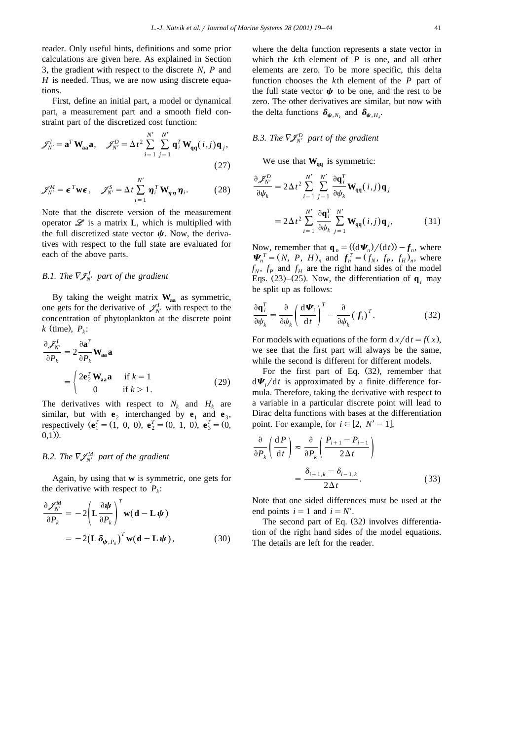reader. Only useful hints, definitions and some prior calculations are given here. As explained in Section 3, the gradient with respect to the discrete *N*, *P* and *H* is needed. Thus, we are now using discrete equations.

First, define an initial part, a model or dynamical part, a measurement part and a smooth field constraint part of the discretized cost function:

$$
\mathscr{J}_{N'}^I = \mathbf{a}^T \mathbf{W}_{\mathbf{aa}} \mathbf{a}, \quad \mathscr{J}_{N'}^D = \Delta t^2 \sum_{i=1}^{N'} \sum_{j=1}^{N'} \mathbf{q}_i^T \mathbf{W}_{qq}(i,j) \mathbf{q}_j,
$$
\n(27)

$$
\mathscr{J}_{N'}^M = \boldsymbol{\epsilon}^T \mathbf{w} \boldsymbol{\epsilon}, \quad \mathscr{J}_{N'}^S = \Delta t \sum_{i=1}^{N'} \boldsymbol{\eta}_i^T \mathbf{W}_{\boldsymbol{\eta} \boldsymbol{\eta}} \boldsymbol{\eta}_i. \tag{28}
$$

Note that the discrete version of the measurement operator  $\mathcal{L}$  is a matrix **L**, which is multiplied with the full discretized state vector  $\psi$ . Now, the derivatives with respect to the full state are evaluated for each of the above parts.

# *B.1. The*  $\nabla \mathscr{J}_{N'}^I$  part of the gradient

By taking the weight matrix  $W_{aa}$  as symmetric, one gets for the derivative of  $\mathscr{J}_{N'}^I$  with respect to the concentration of phytoplankton at the discrete point  $k$  (time),  $P_k$ :

$$
\frac{\partial \mathscr{J}_{N'}^{I}}{\partial P_{k}} = 2 \frac{\partial \mathbf{a}^{T}}{\partial P_{k}} \mathbf{W}_{\mathbf{aa}} \mathbf{a}
$$
\n
$$
= \begin{cases} 2\mathbf{e}_{2}^{T} \mathbf{W}_{\mathbf{aa}} \mathbf{a} & \text{if } k = 1 \\ 0 & \text{if } k > 1. \end{cases}
$$
\n(29)

The derivatives with respect to  $N_k$  and  $H_k$  are similar, but with  $e_2$  interchanged by  $e_1$  and  $e_3$ , respectively  $(\mathbf{e}_1^T = (1, 0, 0), \mathbf{e}_2^T = (0, 1, 0), \mathbf{e}_3^T = (0, 1, 0)$  $(0,1)$ .

# *B.2. The*  $\nabla \mathscr{F}_{N}^{M}$  *part of the gradient*

Again, by using that **w** is symmetric, one gets for the derivative with respect to  $P_k$ :

$$
\frac{\partial \mathscr{J}_{N'}^{M}}{\partial P_{k}} = -2 \left( \mathbf{L} \frac{\partial \boldsymbol{\psi}}{\partial P_{k}} \right)^{T} \mathbf{w} (\mathbf{d} - \mathbf{L} \boldsymbol{\psi})
$$

$$
= -2 \left( \mathbf{L} \, \boldsymbol{\delta}_{\boldsymbol{\psi}, P_{k}} \right)^{T} \mathbf{w} (\mathbf{d} - \mathbf{L} \boldsymbol{\psi}), \tag{30}
$$

where the delta function represents a state vector in which the *k*th element of *P* is one, and all other elements are zero. To be more specific, this delta function chooses the *k*th element of the *P* part of the full state vector  $\psi$  to be one, and the rest to be zero. The other derivatives are similar, but now with the delta functions  $\delta_{\psi, N_k}$  and  $\delta_{\psi, H_k}$ .

# *B.3. The*  $\nabla \mathscr{J}_{N'}^D$  part of the gradient

We use that  $W_{qq}$  is symmetric:

$$
\frac{\partial \mathcal{J}_{N'}^D}{\partial \psi_k} = 2\Delta t^2 \sum_{i=1}^{N'} \sum_{j=1}^{N'} \frac{\partial \mathbf{q}_i^T}{\partial \psi_k} \mathbf{W}_{qq}(i,j) \mathbf{q}_j
$$

$$
= 2\Delta t^2 \sum_{i=1}^{N'} \frac{\partial \mathbf{q}_i^T}{\partial \psi_k} \sum_{j=1}^{N'} \mathbf{W}_{qq}(i,j) \mathbf{q}_j, \qquad (31)
$$

Now, remember that  $\mathbf{q}_n = ((\mathbf{d}\boldsymbol{\Psi}_n)/(\mathbf{d}t)) - \boldsymbol{f}_n$ , where  $\boldsymbol{\Psi}_n^T = (N, P, H)_n$  and  $\boldsymbol{f}_n^T = (f_N, f_P, f_H)_n$ , where  $f_N$ ,  $f_P$  and  $f_H$  are the right hand sides of the model Eqs. (23)–(25). Now, the differentiation of  $q_i$  may be split up as follows:

$$
\frac{\partial \mathbf{q}_i^T}{\partial \psi_k} = \frac{\partial}{\partial \psi_k} \left( \frac{\mathrm{d} \boldsymbol{\varPsi}_i}{\mathrm{d} t} \right)^T - \frac{\partial}{\partial \psi_k} (f_i)^T. \tag{32}
$$

For models with equations of the form  $dx/dt = f(x)$ , we see that the first part will always be the same, while the second is different for different models.

For the first part of Eq.  $(32)$ , remember that  $d\mathbf{\Psi}_i/dt$  is approximated by a finite difference formula. Therefore, taking the derivative with respect to a variable in a particular discrete point will lead to Dirac delta functions with bases at the differentiation point. For example, for  $i \in [2, N' - 1]$ ,

$$
\frac{\partial}{\partial P_k} \left( \frac{dP}{dt} \right) \approx \frac{\partial}{\partial P_k} \left( \frac{P_{i+1} - P_{i-1}}{2\Delta t} \right)
$$

$$
= \frac{\delta_{i+1,k} - \delta_{i-1,k}}{2\Delta t}.
$$
(33)

Note that one sided differences must be used at the end points  $i = 1$  and  $i = N'$ .

The second part of Eq.  $(32)$  involves differentiation of the right hand sides of the model equations. The details are left for the reader.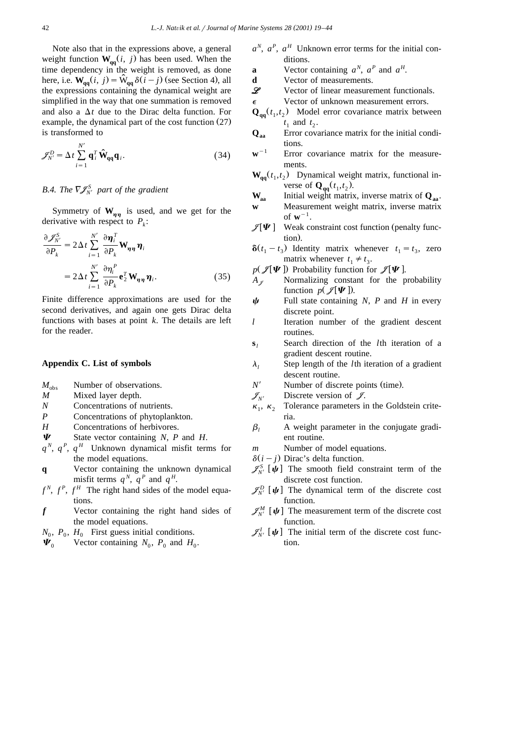Note also that in the expressions above, a general weight function  $W_{qq}(i, j)$  has been used. When the time dependency in the weight is removed, as done here, i.e.  $\mathbf{W}_{\mathbf{q}\mathbf{q}}(i, j) = \hat{\mathbf{W}}_{\mathbf{q}\mathbf{q}} \delta(i - j)$  (see Section 4), all the expressions containing the dynamical weight are simplified in the way that one summation is removed and also a  $\Delta t$  due to the Dirac delta function. For example, the dynamical part of the cost function  $(27)$ is transformed to

$$
\mathscr{J}_{N'}^D = \Delta t \sum_{i=1}^N \mathbf{q}_i^T \hat{\mathbf{W}}_{\mathbf{q}\mathbf{q}} \mathbf{q}_i.
$$
 (34)

# *B.4. The*  $\nabla \mathscr{J}_{N'}^{S}$  part of the gradient

 $\overline{a}$ 

Symmetry of  $W_{nn}$  is used, and we get for the derivative with respect to  $P_k$ :

$$
\frac{\partial \mathcal{J}_{N'}^{S}}{\partial P_{k}} = 2\Delta t \sum_{i=1}^{N'} \frac{\partial \boldsymbol{\eta}_{i}^{T}}{\partial P_{k}} \mathbf{W}_{\boldsymbol{\eta}\boldsymbol{\eta}} \boldsymbol{\eta}_{i}
$$

$$
= 2\Delta t \sum_{i=1}^{N'} \frac{\partial \boldsymbol{\eta}_{i}^{P}}{\partial P_{k}} \mathbf{e}_{2}^{T} \mathbf{W}_{\boldsymbol{\eta}\boldsymbol{\eta}} \boldsymbol{\eta}_{i}.
$$
(35)

Finite difference approximations are used for the second derivatives, and again one gets Dirac delta functions with bases at point *k*. The details are left for the reader.

#### **Appendix C. List of symbols**

- *M*<sub>obs</sub> Number of observations.
- *M* Mixed layer depth.
- *N* Concentrations of nutrients.
- *P* Concentrations of phytoplankton.
- *H* Concentrations of herbivores.
- $\Psi$  State vector containing *N*, *P* and *H*.
- $q^N$ ,  $q^P$ ,  $q^H$  Unknown dynamical misfit terms for the model equations.
- **q** Vector containing the unknown dynamical misfit terms  $q^N$ ,  $q^P$  and  $q^H$ .
- $f^N$ ,  $f^P$ ,  $f^H$  The right hand sides of the model equations.
- *f* Vector containing the right hand sides of the model equations.
- $N_0$ ,  $P_0$ ,  $H_0$  First guess initial conditions.
- $\Psi_0$  Vector containing  $N_0$ ,  $P_0$  and  $H_0$ .
- $a^N$ ,  $a^P$ ,  $a^H$  Unknown error terms for the initial conditions.
- **a** Vector containing  $a^N$ ,  $a^P$  and  $a^H$ .
- **d** Vector of measurements.
- $\mathcal{L}$  Vector of linear measurement functionals.
- $\epsilon$  Vector of unknown measurement errors.
- $\mathbf{Q}_{\mathbf{q}\mathbf{q}}(t_1, t_2)$  Model error covariance matrix between  $t_1$  and  $t_2$ .
- **Qaa** Error covariance matrix for the initial conditions.
- $w^{-1}$  Error covariance matrix for the measurements.
- $W_{\alpha\alpha}(t_1, t_2)$  Dynamical weight matrix, functional inverse of  $\mathbf{Q}_{\mathbf{q}\mathbf{q}}(t_1, t_2)$ .
- $W_{\text{aa}}$  Initial weight matrix, inverse matrix of  $Q_{\text{aa}}$ .
- **w** Measurement weight matrix, inverse matrix of  $w^{-1}$ .
- $\mathscr{J}[\Psi]$  Weak constraint cost function (penalty function).
- $\delta(t_1 t_3)$  Identity matrix whenever  $t_1 = t_3$ , zero matrix whenever  $t_1 \neq t_3$ .
- $p(\mathscr{J}[\Psi])$  Probability function for  $\mathscr{J}[\Psi]$ .
- $A_{\mathscr{I}}$  Normalizing constant for the probability function  $p(\mathscr{J}[\Psi])$ .
- $\psi$  Full state containing *N*, *P* and *H* in every discrete point.
- *l* Iteration number of the gradient descent routines.
- **s***<sup>l</sup>* Search direction of the *l*th iteration of a gradient descent routine.
- $\lambda$  Step length of the *l*th iteration of a gradient descent routine.
- $N'$  Number of discrete points (time).
- $\mathscr{J}_{N'}$  Discrete version of  $\mathscr{J}$ .<br> $\kappa_1$ ,  $\kappa_2$  Tolerance parameters is
- Tolerance parameters in the Goldstein criteria.
- $\beta$ <sup>l</sup> A weight parameter in the conjugate gradient routine.
- *m* Number of model equations.
- $\delta(i-j)$  Dirac's delta function.
- $\mathscr{J}_{N'}^{S}[\psi]$  The smooth field constraint term of the discrete cost function.
- $\mathscr{J}_{N'}^D$   $[\psi]$  The dynamical term of the discrete cost function.
- $\mathscr{J}_{N'}^M$  [ $\psi$ ] The measurement term of the discrete cost function.
- $\mathscr{J}_{N'}^{I}[\psi]$  The initial term of the discrete cost function.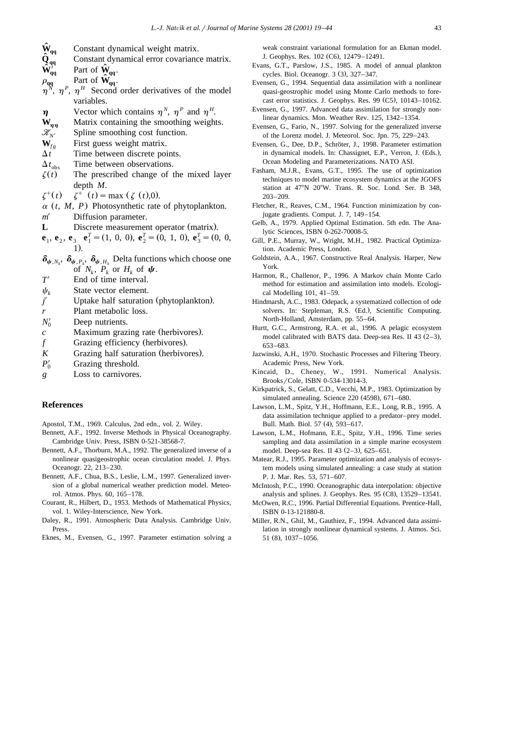- Constant dynamical weight matrix.
- Constant dynamical error covariance matrix.  $\hat{\mathbf{Q}}_{\mathbf{q}\mathbf{q}}^{\mathbf{q}}$ <br> $\hat{\mathbf{Q}}_{\mathbf{q}\mathbf{q}}^{\mathbf{q}}$
- Part of  $\hat{\mathbf{W}}_{\mathbf{q}\mathbf{q}}$ .<br>Part of  $\hat{\mathbf{W}}_{\mathbf{q}\mathbf{q}}$ .

 $\rho_{qq}$  Part of  $\hat{W}_{qq}^{qq}$ .

- $\eta^N$ ,  $\eta^P$ ,  $\eta^H$  Second order derivatives of the model variables.
- $\eta$  Vector which contains  $\eta^N$ ,  $\eta^P$  and  $\eta^H$ .
- $W_{nn}$  Matrix containing the smoothing weights.
- $\mathcal{K}_{N'}$  Spline smoothing cost function.<br>W<sub>f8</sub> First guess weight matrix.
- $W_{fg}$  First guess weight matrix.<br> $\Delta t$  Time between discrete point
- Time between discrete points.
- $\Delta t_{\rm obs}$  Time between observations.
- $\zeta(t)$  The prescribed change of the mixed layer depth *M*.
- $\zeta^+(t)$   $\zeta$  $t^{+}(t) = \max (\zeta(t),0).$
- $\alpha$  (*t*, *M*, *P*) Photosynthetic rate of phytoplankton.  $m'$  Diffusion parameter.
- **L** Discrete measurement operator (matrix).

**e**<sub>1</sub>, **e**<sub>2</sub>, **e**<sub>3</sub> **e**<sub>1</sub><sup>*T*</sup> = (1, 0, 0), **e**<sub>1</sub><sup>*T*</sup> = (0, 1, 0), **e**<sub>1</sub><sup>*T*</sup> = (0, 0, 1).

- $\delta_{\psi, N_k}, \ \delta_{\psi, P_k}, \ \delta_{\psi, H_k}$  Delta functions which choose one of  $N_k$ ,  $P_k$  or  $H_k$  of  $\psi$ .
- *T'* End of time interval.
- $\psi_k$  State vector element.
- *j* Uptake half saturation (phytoplankton).
- *r* Plant metabolic loss.
- $N_0'$ Deep nutrients.
- *c* Maximum grazing rate (herbivores).
- *f* Grazing efficiency (herbivores).
- *K* Grazing half saturation (herbivores).
- $P'_{0}$ Grazing threshold.
- *g* Loss to carnivores.

# **References**

- Apostol, T.M., 1969. Calculus, 2nd edn., vol. 2. Wiley.
- Bennett, A.F., 1992. Inverse Methods in Physical Oceanography. Cambridge Univ. Press, ISBN 0-521-38568-7.
- Bennett, A.F., Thorburn, M.A., 1992. The generalized inverse of a nonlinear quasigeostrophic ocean circulation model. J. Phys. Oceanogr. 22, 213–230.
- Bennett, A.F., Chua, B.S., Leslie, L.M., 1997. Generalized inversion of a global numerical weather prediction model. Meteorol. Atmos. Phys. 60, 165–178.
- Courant, R., Hilbert, D., 1953. Methods of Mathematical Physics, vol. 1. Wiley-Interscience, New York.
- Daley, R., 1991. Atmospheric Data Analysis. Cambridge Univ. Press.
- Eknes, M., Evensen, G., 1997. Parameter estimation solving a

weak constraint variational formulation for an Ekman model. J. Geophys. Res. 102 (C6), 12479-12491.

- Evans, G.T., Parslow, J.S., 1985. A model of annual plankton cycles. Biol. Oceanogr. 3 (3), 327–347.
- Evensen, G., 1994. Sequential data assimilation with a nonlinear quasi-geostrophic model using Monte Carlo methods to forecast error statistics. J. Geophys. Res. 99 (C5), 10143-10162.
- Evensen, G., 1997. Advanced data assimilation for strongly nonlinear dynamics. Mon. Weather Rev. 125, 1342–1354.
- Evensen, G., Fario, N., 1997. Solving for the generalized inverse of the Lorenz model. J. Meteorol. Soc. Jpn. 75, 229–243.
- Evensen, G., Dee, D.P., Schröter, J., 1998. Parameter estimation in dynamical models. In: Chassignet, E.P., Verron, J. (Eds.), Ocean Modeling and Parameterizations. NATO ASI.
- Fasham, M.J.R., Evans, G.T., 1995. The use of optimization techniques to model marine ecosystem dynamics at the JGOFS station at 47°N 20°W. Trans. R. Soc. Lond. Ser. B 348, 203–209.
- Fletcher, R., Reaves, C.M., 1964. Function minimization by conjugate gradients. Comput. J. 7, 149–154.
- Gelb, A., 1979. Applied Optimal Estimation. 5th edn. The Analytic Sciences, ISBN 0-262-70008-5.
- Gill, P.E., Murray, W., Wright, M.H., 1982. Practical Optimization. Academic Press, London.
- Goldstein, A.A., 1967. Constructive Real Analysis. Harper, New York.
- Harmon, R., Challenor, P., 1996. A Markov chain Monte Carlo method for estimation and assimilation into models. Ecological Modelling 101, 41–59.
- Hindmarsh, A.C., 1983. Odepack, a systematized collection of ode solvers. In: Stepleman, R.S. (Ed.), Scientific Computing. North-Holland, Amsterdam, pp. 55–64.
- Hurtt, G.C., Armstrong, R.A. et al., 1996. A pelagic ecosystem model calibrated with BATS data. Deep-sea Res. II 43  $(2-3)$ , 653–683.
- Jazwinski, A.H., 1970. Stochastic Processes and Filtering Theory. Academic Press, New York.
- Kincaid, D., Cheney, W., 1991. Numerical Analysis. Brooks/Cole, ISBN 0-534-13014-3.
- Kirkpatrick, S., Gelatt, C.D., Vecchi, M.P., 1983. Optimization by simulated annealing. Science  $220$  (4598),  $671-680$ .
- Lawson, L.M., Spitz, Y.H., Hoffmann, E.E., Long, R.B., 1995. A data assimilation technique applied to a predator–prey model. Bull. Math. Biol. 57 (4), 593-617.
- Lawson, L.M., Hofmann, E.E., Spitz, Y.H., 1996. Time series sampling and data assimilation in a simple marine ecosystem model. Deep-sea Res. II 43  $(2-3)$ , 625–651.
- Matear, R.J., 1995. Parameter optimization and analysis of ecosystem models using simulated annealing: a case study at station P. J. Mar. Res. 53, 571–607.
- McIntosh, P.C., 1990. Oceanographic data interpolation: objective analysis and splines. J. Geophys. Res.  $95$  (C8),  $13529-13541$ .
- McOwen, R.C., 1996. Partial Differential Equations. Prentice-Hall, ISBN 0-13-121880-8.
- Miller, R.N., Ghil, M., Gauthiez, F., 1994. Advanced data assimilation in strongly nonlinear dynamical systems. J. Atmos. Sci. 51 (8), 1037-1056.